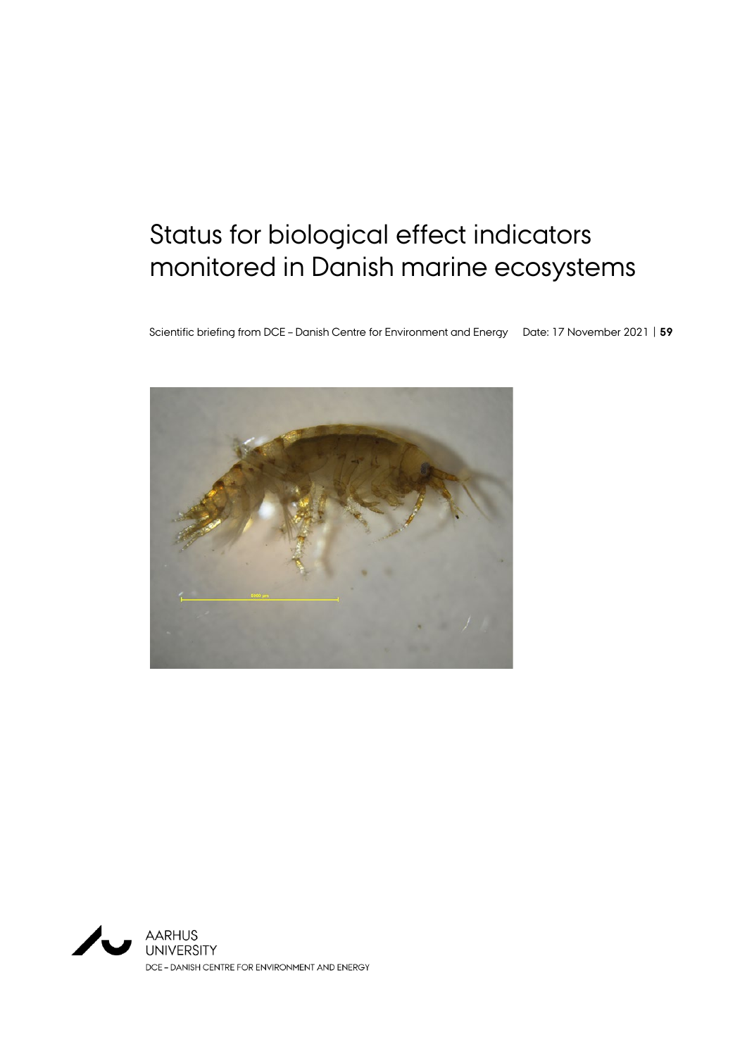# Status for biological effect indicators monitored in Danish marine ecosystems

Scientific briefing from DCE – Danish Centre for Environment and Energy Date: 17 November 2021 | **59**



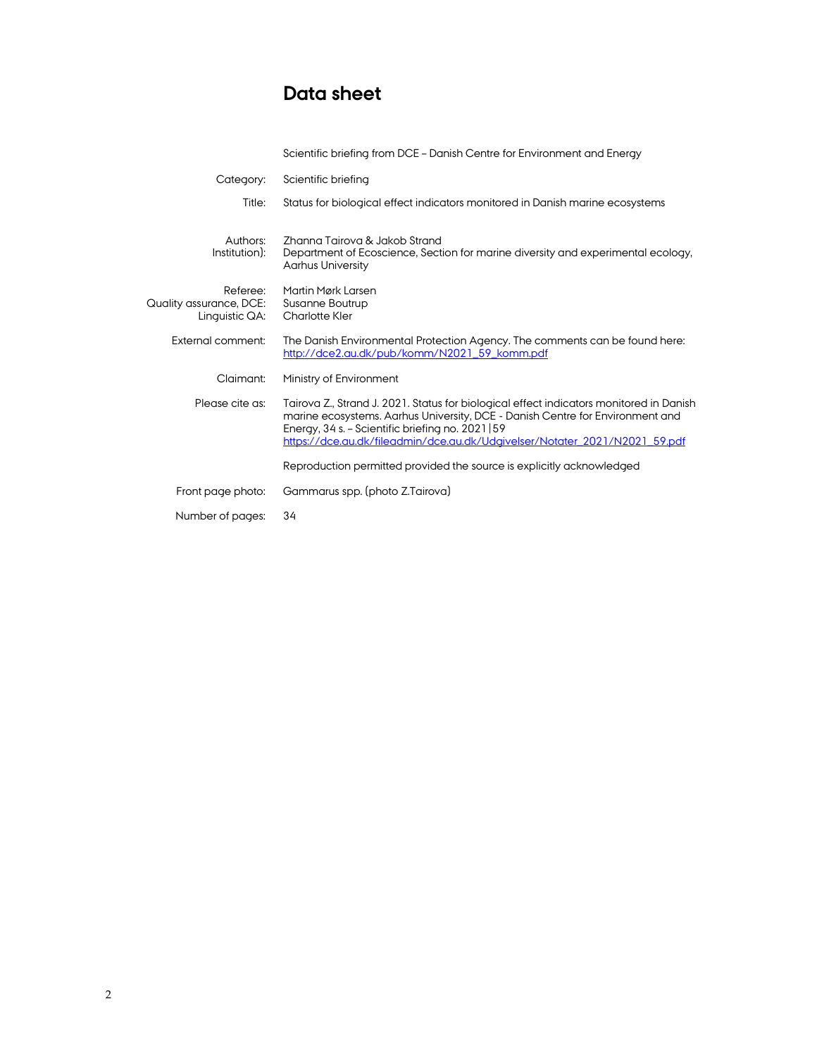# Data sheet

|                                                       | Scientific briefing from DCE - Danish Centre for Environment and Energy                                                                                                                                                                                                                                       |
|-------------------------------------------------------|---------------------------------------------------------------------------------------------------------------------------------------------------------------------------------------------------------------------------------------------------------------------------------------------------------------|
| Category:                                             | Scientific briefing                                                                                                                                                                                                                                                                                           |
| Title:                                                | Status for biological effect indicators monitored in Danish marine ecosystems                                                                                                                                                                                                                                 |
| Authors:<br>Institution):                             | Zhanna Tairova & Jakob Strand<br>Department of Ecoscience, Section for marine diversity and experimental ecology,<br><b>Aarhus University</b>                                                                                                                                                                 |
| Referee:<br>Quality assurance, DCE:<br>Linguistic QA: | Martin Mørk Larsen<br>Susanne Boutrup<br><b>Charlotte Kler</b>                                                                                                                                                                                                                                                |
| External comment:                                     | The Danish Environmental Protection Agency. The comments can be found here:<br>http://dce2.au.dk/pub/komm/N2021_59_komm.pdf                                                                                                                                                                                   |
| Claimant:                                             | Ministry of Environment                                                                                                                                                                                                                                                                                       |
| Please cite as:                                       | Tairova Z., Strand J. 2021. Status for biological effect indicators monitored in Danish<br>marine ecosystems. Aarhus University, DCE - Danish Centre for Environment and<br>Energy, $34$ s. - Scientific briefing no. 2021   59<br>https://dce.au.dk/fileadmin/dce.au.dk/Udgivelser/Notater_2021/N2021_59.pdf |
|                                                       | Reproduction permitted provided the source is explicitly acknowledged                                                                                                                                                                                                                                         |
| Front page photo:                                     | Gammarus spp. (photo Z.Tairova)                                                                                                                                                                                                                                                                               |
| Number of pages:                                      | 34                                                                                                                                                                                                                                                                                                            |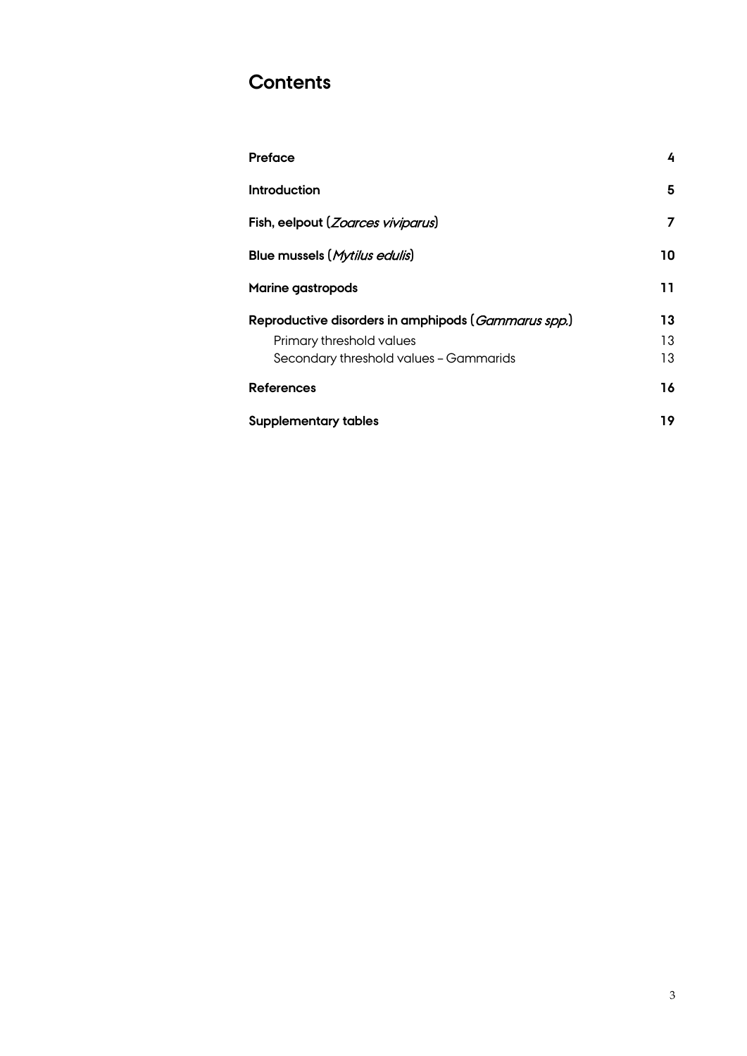# **Contents**

| Preface                                                      | 4  |
|--------------------------------------------------------------|----|
| Introduction                                                 | 5  |
| Fish, eelpout (Zoarces viviparus)                            | 7  |
| Blue mussels (Mytilus edulis)                                | 10 |
| <b>Marine gastropods</b>                                     | 11 |
| Reproductive disorders in amphipods ( <i>Gammarus spp.</i> ) | 13 |
| Primary threshold values                                     | 13 |
| Secondary threshold values - Gammarids                       | 13 |
| <b>References</b>                                            | 16 |
| <b>Supplementary tables</b>                                  | 19 |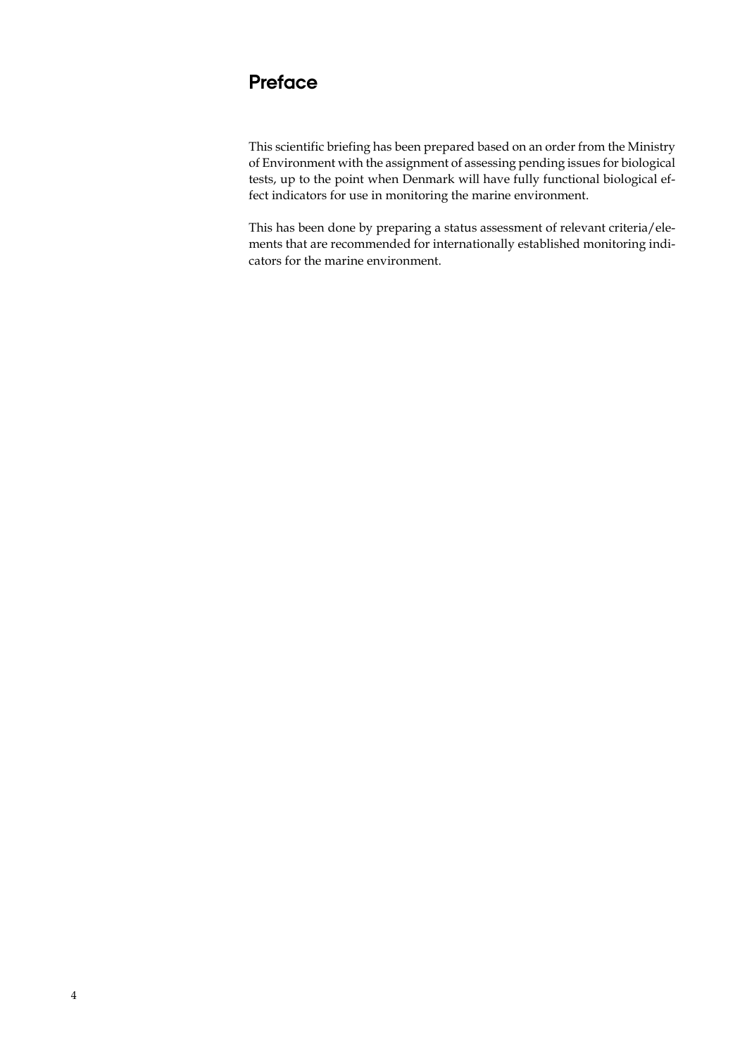# **Preface**

This scientific briefing has been prepared based on an order from the Ministry of Environment with the assignment of assessing pending issues for biological tests, up to the point when Denmark will have fully functional biological effect indicators for use in monitoring the marine environment.

This has been done by preparing a status assessment of relevant criteria/elements that are recommended for internationally established monitoring indicators for the marine environment.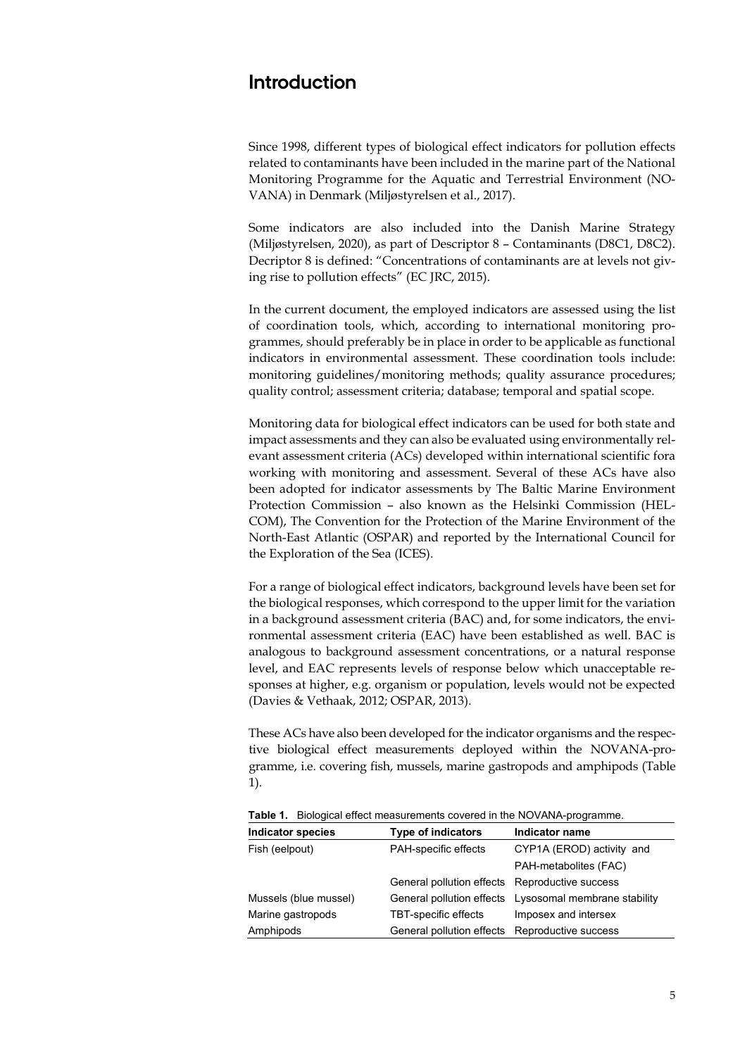### **Introduction**

Since 1998, different types of biological effect indicators for pollution effects related to contaminants have been included in the marine part of the National Monitoring Programme for the Aquatic and Terrestrial Environment (NO-VANA) in Denmark (Miljøstyrelsen et al., 2017).

Some indicators are also included into the Danish Marine Strategy (Miljøstyrelsen, 2020), as part of Descriptor 8 – Contaminants (D8C1, D8C2). Decriptor 8 is defined: "Concentrations of contaminants are at levels not giving rise to pollution effects" (EC JRC, 2015).

In the current document, the employed indicators are assessed using the list of coordination tools, which, according to international monitoring programmes, should preferably be in place in order to be applicable as functional indicators in environmental assessment. These coordination tools include: monitoring guidelines/monitoring methods; quality assurance procedures; quality control; assessment criteria; database; temporal and spatial scope.

Monitoring data for biological effect indicators can be used for both state and impact assessments and they can also be evaluated using environmentally relevant assessment criteria (ACs) developed within international scientific fora working with monitoring and assessment. Several of these ACs have also been adopted for indicator assessments by The Baltic Marine Environment Protection Commission – also known as the Helsinki Commission (HEL-COM), The Convention for the Protection of the Marine Environment of the North-East Atlantic (OSPAR) and reported by the International Council for the Exploration of the Sea (ICES).

For a range of biological effect indicators, background levels have been set for the biological responses, which correspond to the upper limit for the variation in a background assessment criteria (BAC) and, for some indicators, the environmental assessment criteria (EAC) have been established as well. BAC is analogous to background assessment concentrations, or a natural response level, and EAC represents levels of response below which unacceptable responses at higher, e.g. organism or population, levels would not be expected (Davies & Vethaak, 2012; OSPAR, 2013).

These ACs have also been developed for the indicator organisms and the respective biological effect measurements deployed within the NOVANA-programme, i.e. covering fish, mussels, marine gastropods and amphipods (Table 1).

**Table 1.** Biological effect measurements covered in the NOVANA-programme.

| <b>Indicator species</b> | <b>Type of indicators</b>                      | Indicator name                                         |
|--------------------------|------------------------------------------------|--------------------------------------------------------|
| Fish (eelpout)           | PAH-specific effects                           | CYP1A (EROD) activity and                              |
|                          |                                                | PAH-metabolites (FAC)                                  |
|                          | General pollution effects Reproductive success |                                                        |
| Mussels (blue mussel)    |                                                | General pollution effects Lysosomal membrane stability |
| Marine gastropods        | TBT-specific effects                           | Imposex and intersex                                   |
| Amphipods                | General pollution effects Reproductive success |                                                        |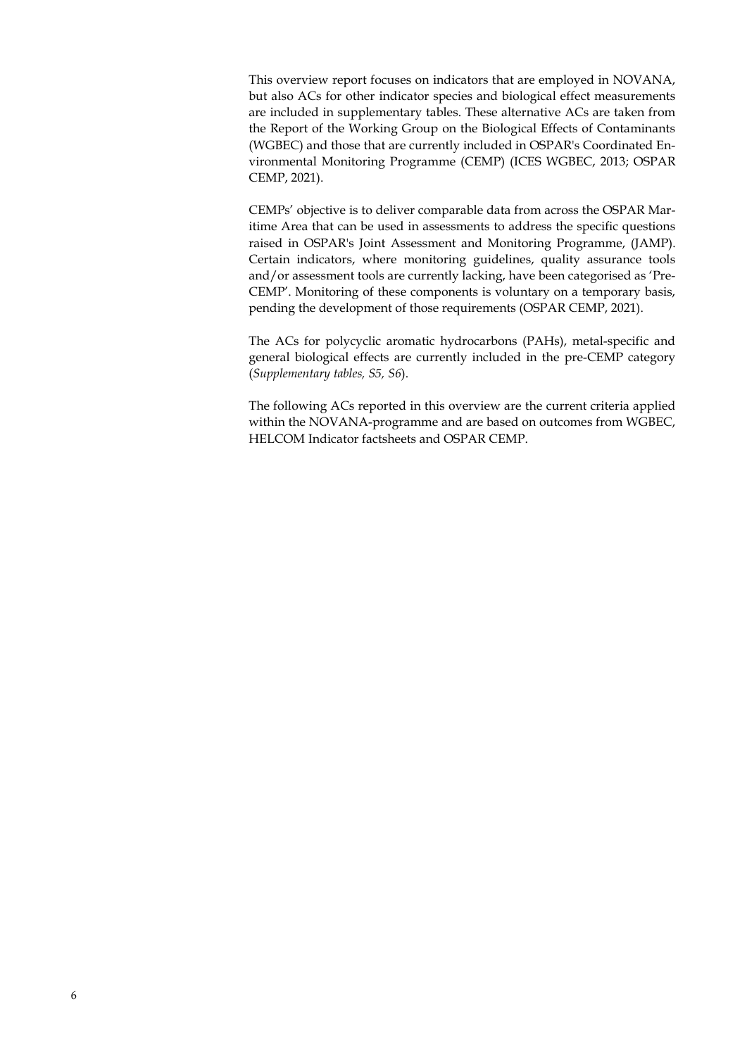This overview report focuses on indicators that are employed in NOVANA, but also ACs for other indicator species and biological effect measurements are included in supplementary tables. These alternative ACs are taken from the Report of the Working Group on the Biological Effects of Contaminants (WGBEC) and those that are currently included in OSPAR's Coordinated Environmental Monitoring Programme (CEMP) (ICES WGBEC, 2013; OSPAR CEMP, 2021).

CEMPs' objective is to deliver comparable data from across the OSPAR Maritime Area that can be used in assessments to address the specific questions raised in OSPAR's Joint Assessment and Monitoring Programme, (JAMP). Certain indicators, where monitoring guidelines, quality assurance tools and/or assessment tools are currently lacking, have been categorised as 'Pre-CEMP'. Monitoring of these components is voluntary on a temporary basis, pending the development of those requirements (OSPAR CEMP, 2021).

The ACs for polycyclic aromatic hydrocarbons (PAHs), metal-specific and general biological effects are currently included in the pre-CEMP category (*Supplementary tables, S5, S6*).

The following ACs reported in this overview are the current criteria applied within the NOVANA-programme and are based on outcomes from WGBEC, HELCOM Indicator factsheets and OSPAR CEMP.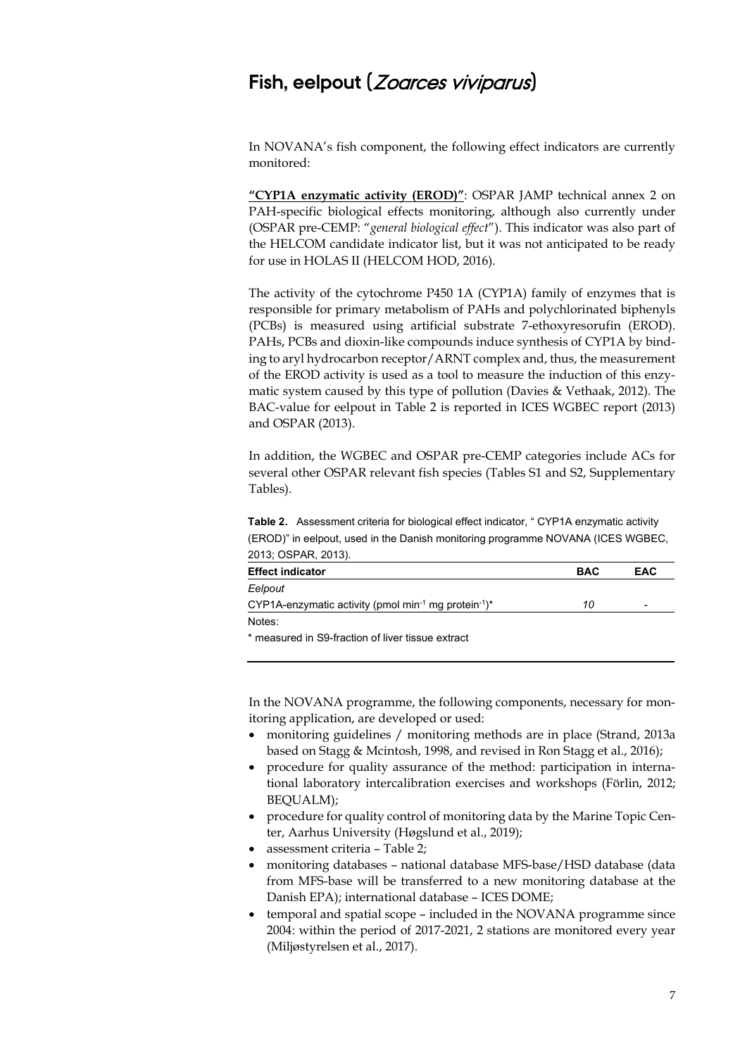### **Fish, eelpout (**Zoarces viviparus**)**

In NOVANA's fish component, the following effect indicators are currently monitored:

**"CYP1A enzymatic activity (EROD)"**: OSPAR JAMP technical annex 2 on PAH-specific biological effects monitoring, although also currently under (OSPAR pre-CEMP: "*general biological effect*"). This indicator was also part of the HELCOM candidate indicator list, but it was not anticipated to be ready for use in HOLAS II (HELCOM HOD, 2016).

The activity of the cytochrome P450 1A (CYP1A) family of enzymes that is responsible for primary metabolism of PAHs and polychlorinated biphenyls (PCBs) is measured using artificial substrate 7-ethoxyresorufin (EROD). PAHs, PCBs and dioxin-like compounds induce synthesis of CYP1A by binding to aryl hydrocarbon receptor/ARNT complex and, thus, the measurement of the EROD activity is used as a tool to measure the induction of this enzymatic system caused by this type of pollution (Davies & Vethaak, 2012). The BAC-value for eelpout in Table 2 is reported in ICES WGBEC report (2013) and OSPAR (2013).

In addition, the WGBEC and OSPAR pre-CEMP categories include ACs for several other OSPAR relevant fish species (Tables S1 and S2, Supplementary Tables).

**Table 2.** Assessment criteria for biological effect indicator, " CYP1A enzymatic activity (EROD)" in eelpout, used in the Danish monitoring programme NOVANA (ICES WGBEC, 2013; OSPAR, 2013).

| <b>Effect indicator</b>                                                                  | <b>BAC</b> | EAC |
|------------------------------------------------------------------------------------------|------------|-----|
| Eelpout                                                                                  |            |     |
| CYP1A-enzymatic activity (pmol min <sup>-1</sup> mg protein <sup>-1</sup> ) <sup>*</sup> | 10         |     |
| Notes:                                                                                   |            |     |
| * measured in SQ-fraction of liver tissue extract                                        |            |     |

measured in S9-fraction of liver tissue extract

In the NOVANA programme, the following components, necessary for monitoring application, are developed or used:

- monitoring guidelines / monitoring methods are in place (Strand, 2013a) based on Stagg & Mcintosh, 1998, and revised in Ron Stagg et al., 2016);
- procedure for quality assurance of the method: participation in international laboratory intercalibration exercises and workshops (Förlin, 2012; BEQUALM);
- procedure for quality control of monitoring data by the Marine Topic Center, Aarhus University (Høgslund et al., 2019);
- assessment criteria Table 2;
- monitoring databases national database MFS-base/HSD database (data from MFS-base will be transferred to a new monitoring database at the Danish EPA); international database – ICES DOME;
- temporal and spatial scope included in the NOVANA programme since 2004: within the period of 2017-2021, 2 stations are monitored every year (Miljøstyrelsen et al., 2017).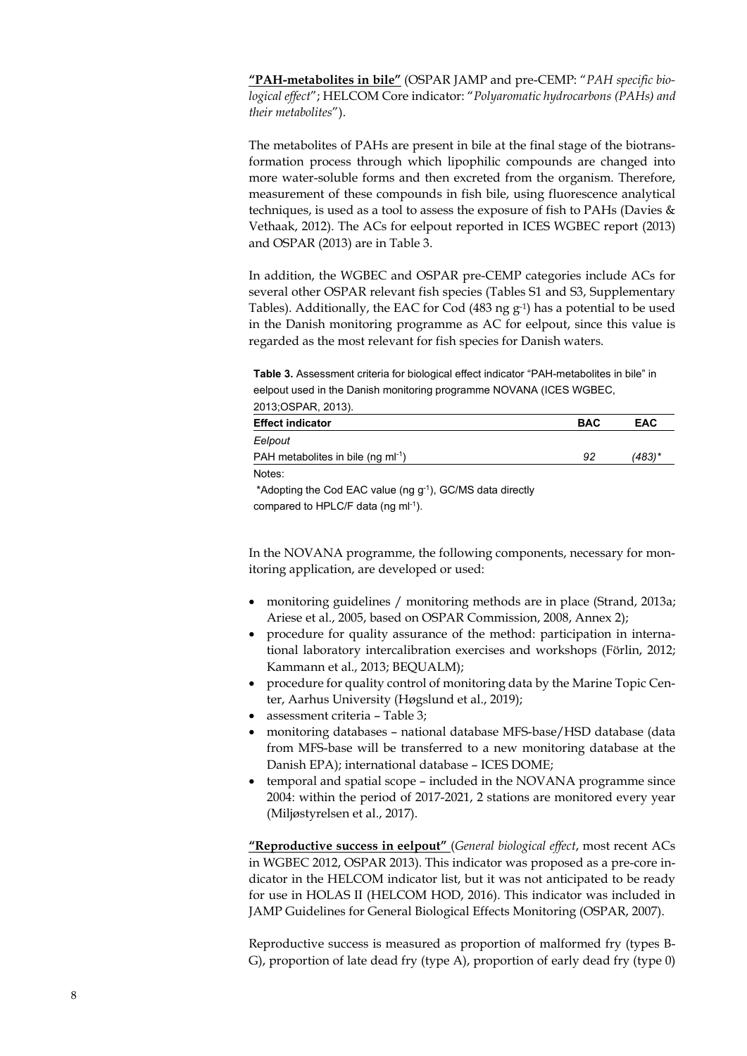**"PAH-metabolites in bile"** (OSPAR JAMP and pre-CEMP: "*PAH specific biological effect*"; HELCOM Core indicator: "*Polyaromatic hydrocarbons (PAHs) and their metabolites*").

The metabolites of PAHs are present in bile at the final stage of the biotransformation process through which lipophilic compounds are changed into more water-soluble forms and then excreted from the organism. Therefore, measurement of these compounds in fish bile, using fluorescence analytical techniques, is used as a tool to assess the exposure of fish to PAHs (Davies & Vethaak, 2012). The ACs for eelpout reported in ICES WGBEC report (2013) and OSPAR (2013) are in Table 3.

In addition, the WGBEC and OSPAR pre-CEMP categories include ACs for several other OSPAR relevant fish species (Tables S1 and S3, Supplementary Tables). Additionally, the EAC for Cod  $(483 \text{ ng g}^{-1})$  has a potential to be used in the Danish monitoring programme as AC for eelpout, since this value is regarded as the most relevant for fish species for Danish waters.

**Table 3.** Assessment criteria for biological effect indicator "PAH-metabolites in bile" in eelpout used in the Danish monitoring programme NOVANA (ICES WGBEC, 2013;OSPAR, 2013).

| ZUTJ, UJFAN, ZUTJJ.                      |            |            |
|------------------------------------------|------------|------------|
| <b>Effect indicator</b>                  | <b>BAC</b> | <b>EAC</b> |
| Eelpout                                  |            |            |
| PAH metabolites in bile (ng m $I^{-1}$ ) | 92         | (483)*     |
| Notes:                                   |            |            |

\*Adopting the Cod EAC value (ng  $g^{-1}$ ), GC/MS data directly compared to HPLC/F data (ng ml<sup>-1</sup>).

In the NOVANA programme, the following components, necessary for monitoring application, are developed or used:

- monitoring guidelines / monitoring methods are in place (Strand, 2013a; Ariese et al., 2005, based on OSPAR Commission, 2008, Annex 2);
- procedure for quality assurance of the method: participation in international laboratory intercalibration exercises and workshops (Förlin, 2012; Kammann et al., 2013; BEQUALM);
- procedure for quality control of monitoring data by the Marine Topic Center, Aarhus University (Høgslund et al., 2019);
- assessment criteria Table 3;
- monitoring databases national database MFS-base/HSD database (data from MFS-base will be transferred to a new monitoring database at the Danish EPA); international database – ICES DOME;
- temporal and spatial scope included in the NOVANA programme since 2004: within the period of 2017-2021, 2 stations are monitored every year (Miljøstyrelsen et al., 2017).

**"Reproductive success in eelpout"** (*General biological effect*, most recent ACs in WGBEC 2012, OSPAR 2013). This indicator was proposed as a pre-core indicator in the HELCOM indicator list, but it was not anticipated to be ready for use in HOLAS II (HELCOM HOD, 2016). This indicator was included in JAMP Guidelines for General Biological Effects Monitoring (OSPAR, 2007).

Reproductive success is measured as proportion of malformed fry (types B-G), proportion of late dead fry (type A), proportion of early dead fry (type 0)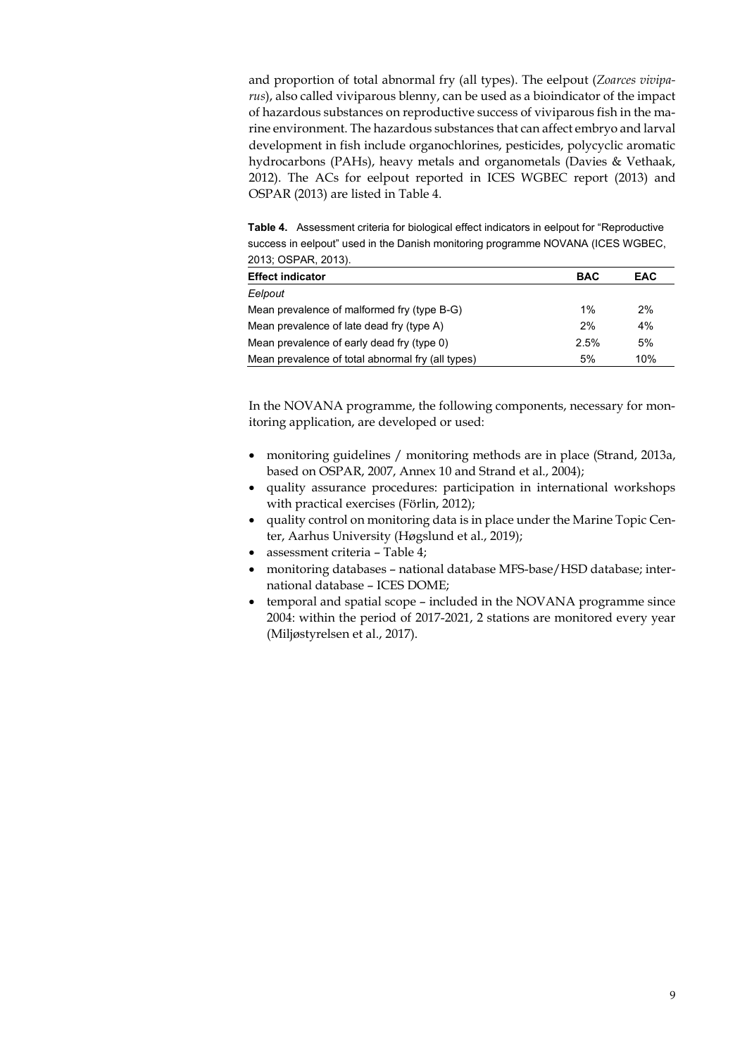and proportion of total abnormal fry (all types). The eelpout (*Zoarces viviparus*), also called viviparous blenny, can be used as a bioindicator of the impact of hazardous substances on reproductive success of viviparous fish in the marine environment. The hazardous substances that can affect embryo and larval development in fish include organochlorines, pesticides, polycyclic aromatic hydrocarbons (PAHs), heavy metals and organometals (Davies & Vethaak, 2012). The ACs for eelpout reported in ICES WGBEC report (2013) and OSPAR (2013) are listed in Table 4.

**Table 4.** Assessment criteria for biological effect indicators in eelpout for "Reproductive success in eelpout" used in the Danish monitoring programme NOVANA (ICES WGBEC, 2013; OSPAR, 2013).

| 2010, 00170, 20107                                |            |            |
|---------------------------------------------------|------------|------------|
| <b>Effect indicator</b>                           | <b>BAC</b> | <b>EAC</b> |
| Eelpout                                           |            |            |
| Mean prevalence of malformed fry (type B-G)       | $1\%$      | 2%         |
| Mean prevalence of late dead fry (type A)         | 2%         | 4%         |
| Mean prevalence of early dead fry (type 0)        | 2.5%       | 5%         |
| Mean prevalence of total abnormal fry (all types) | 5%         | 10%        |

In the NOVANA programme, the following components, necessary for monitoring application, are developed or used:

- monitoring guidelines / monitoring methods are in place (Strand, 2013a, based on OSPAR, 2007, Annex 10 and Strand et al., 2004);
- quality assurance procedures: participation in international workshops with practical exercises (Förlin, 2012);
- quality control on monitoring data is in place under the Marine Topic Center, Aarhus University (Høgslund et al., 2019);
- assessment criteria Table 4;
- monitoring databases national database MFS-base/HSD database; international database – ICES DOME;
- temporal and spatial scope included in the NOVANA programme since 2004: within the period of 2017-2021, 2 stations are monitored every year (Miljøstyrelsen et al., 2017).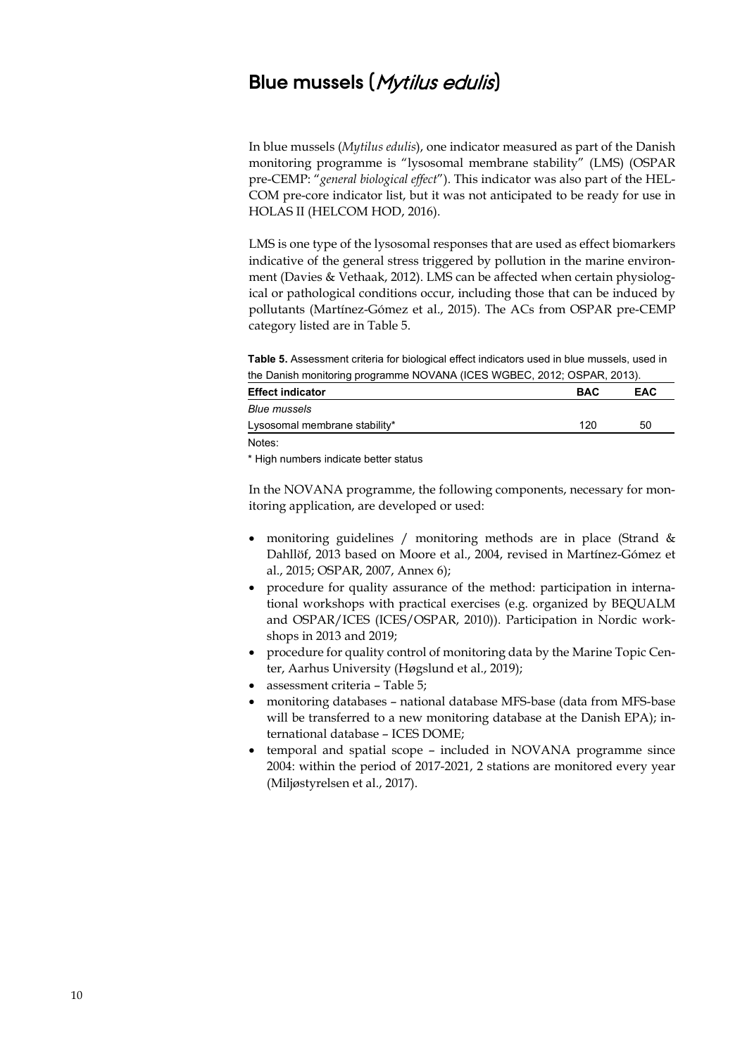### **Blue mussels (**Mytilus edulis**)**

In blue mussels (*Mytilus edulis*), one indicator measured as part of the Danish monitoring programme is "lysosomal membrane stability" (LMS) (OSPAR pre-CEMP: "*general biological effect*"). This indicator was also part of the HEL-COM pre-core indicator list, but it was not anticipated to be ready for use in HOLAS II (HELCOM HOD, 2016).

LMS is one type of the lysosomal responses that are used as effect biomarkers indicative of the general stress triggered by pollution in the marine environment (Davies & Vethaak, 2012). LMS can be affected when certain physiological or pathological conditions occur, including those that can be induced by pollutants (Martínez-Gómez et al., 2015). The ACs from OSPAR pre-CEMP category listed are in Table 5.

**Table 5.** Assessment criteria for biological effect indicators used in blue mussels, used in the Danish monitoring programme NOVANA (ICES WGBEC, 2012; OSPAR, 2013).

| <b>Effect indicator</b>       | <b>BAC</b> | <b>EAC</b> |
|-------------------------------|------------|------------|
| Blue mussels                  |            |            |
| Lysosomal membrane stability* | 120        | 50         |
| Notes:                        |            |            |

\* High numbers indicate better status

In the NOVANA programme, the following components, necessary for monitoring application, are developed or used:

- monitoring guidelines / monitoring methods are in place (Strand & Dahllöf, 2013 based on Moore et al., 2004, revised in Martínez-Gómez et al., 2015; OSPAR, 2007, Annex 6);
- procedure for quality assurance of the method: participation in international workshops with practical exercises (e.g. organized by BEQUALM and OSPAR/ICES (ICES/OSPAR, 2010)). Participation in Nordic workshops in 2013 and 2019;
- procedure for quality control of monitoring data by the Marine Topic Center, Aarhus University (Høgslund et al., 2019);
- assessment criteria Table 5;
- monitoring databases national database MFS-base (data from MFS-base will be transferred to a new monitoring database at the Danish EPA); international database – ICES DOME;
- temporal and spatial scope included in NOVANA programme since 2004: within the period of 2017-2021, 2 stations are monitored every year (Miljøstyrelsen et al., 2017).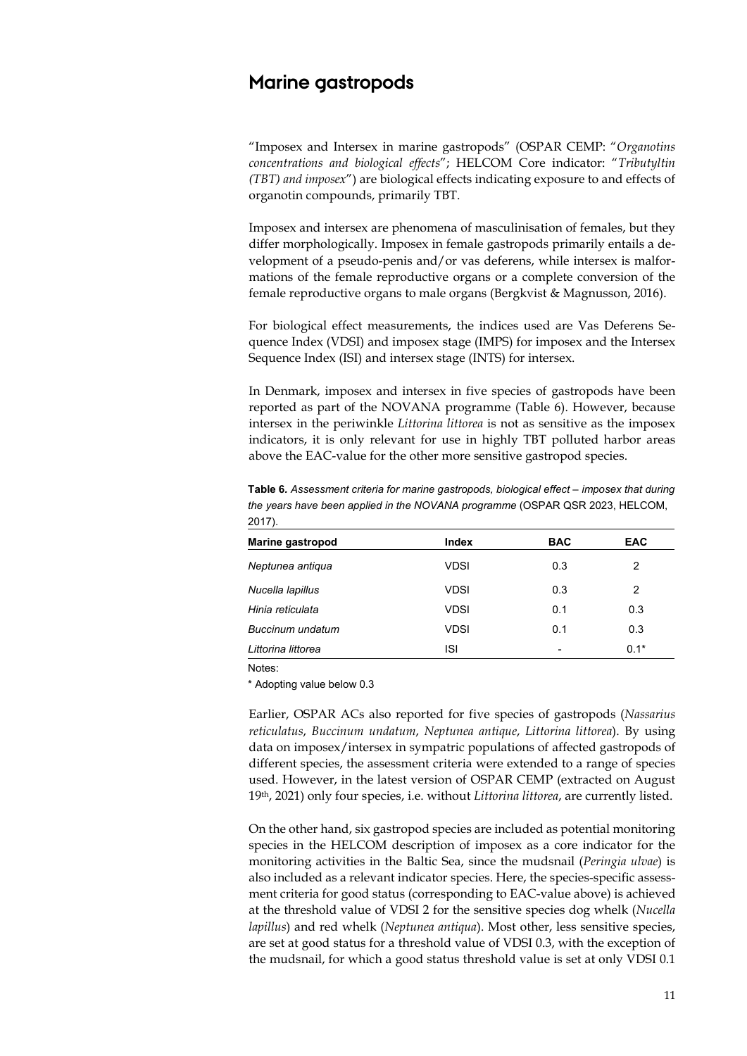### **Marine gastropods**

"Imposex and Intersex in marine gastropods" (OSPAR CEMP: "*Organotins concentrations and biological effects*"; HELCOM Core indicator: "*Tributyltin (TBT) and imposex*") are biological effects indicating exposure to and effects of organotin compounds, primarily TBT.

Imposex and intersex are phenomena of masculinisation of females, but they differ morphologically. Imposex in female gastropods primarily entails a development of a pseudo-penis and/or vas deferens, while intersex is malformations of the female reproductive organs or a complete conversion of the female reproductive organs to male organs (Bergkvist & Magnusson, 2016).

For biological effect measurements, the indices used are Vas Deferens Sequence Index (VDSI) and imposex stage (IMPS) for imposex and the Intersex Sequence Index (ISI) and intersex stage (INTS) for intersex.

In Denmark, imposex and intersex in five species of gastropods have been reported as part of the NOVANA programme (Table 6). However, because intersex in the periwinkle *Littorina littorea* is not as sensitive as the imposex indicators, it is only relevant for use in highly TBT polluted harbor areas above the EAC-value for the other more sensitive gastropod species.

| 2017).             |             |                |            |
|--------------------|-------------|----------------|------------|
| Marine gastropod   | Index       | <b>BAC</b>     | <b>EAC</b> |
| Neptunea antiqua   | <b>VDSI</b> | 0.3            | 2          |
| Nucella lapillus   | <b>VDSI</b> | 0.3            | 2          |
| Hinia reticulata   | <b>VDSI</b> | 0.1            | 0.3        |
| Buccinum undatum   | <b>VDSI</b> | 0.1            | 0.3        |
| Littorina littorea | ISI         | $\overline{a}$ | $0.1*$     |

**Table 6***. Assessment criteria for marine gastropods, biological effect – imposex that during the years have been applied in the NOVANA programme* (OSPAR QSR 2023, HELCOM,

Notes:

\* Adopting value below 0.3

Earlier, OSPAR ACs also reported for five species of gastropods (*Nassarius reticulatus*, *Buccinum undatum*, *Neptunea antique*, *Littorina littorea*). By using data on imposex/intersex in sympatric populations of affected gastropods of different species, the assessment criteria were extended to a range of species used. However, in the latest version of OSPAR CEMP (extracted on August 19th, 2021) only four species, i.e. without *Littorina littorea*, are currently listed.

On the other hand, six gastropod species are included as potential monitoring species in the HELCOM description of imposex as a core indicator for the monitoring activities in the Baltic Sea, since the mudsnail (*Peringia ulvae*) is also included as a relevant indicator species. Here, the species-specific assessment criteria for good status (corresponding to EAC-value above) is achieved at the threshold value of VDSI 2 for the sensitive species dog whelk (*Nucella lapillus*) and red whelk (*Neptunea antiqua*). Most other, less sensitive species, are set at good status for a threshold value of VDSI 0.3, with the exception of the mudsnail, for which a good status threshold value is set at only VDSI 0.1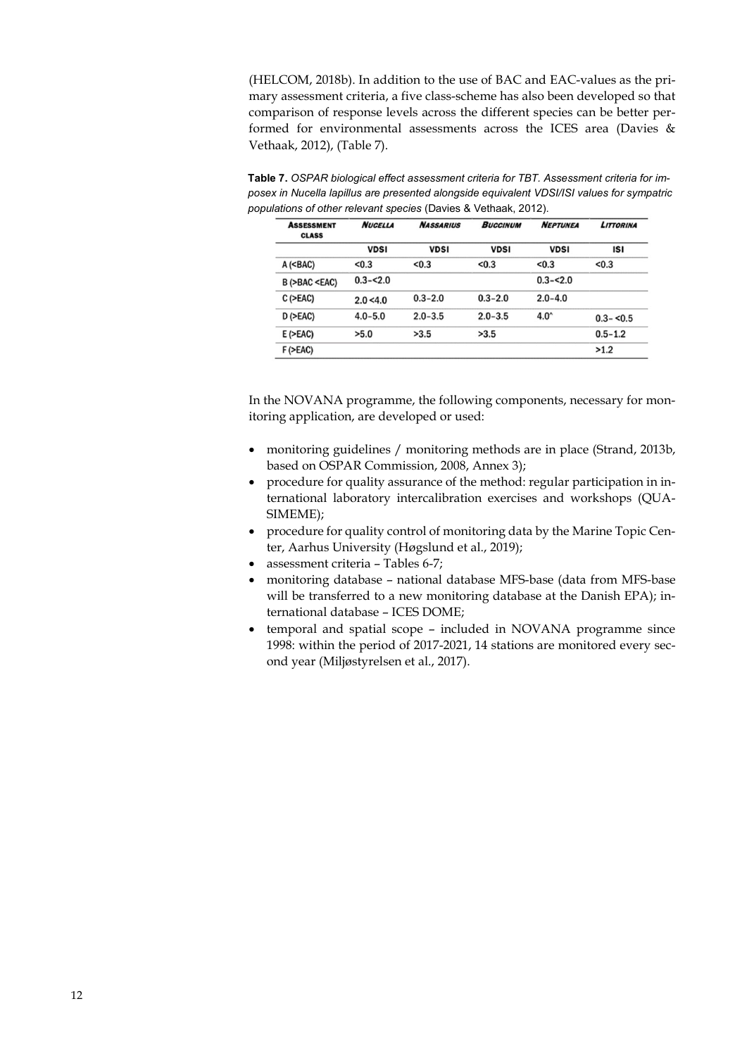(HELCOM, 2018b). In addition to the use of BAC and EAC-values as the primary assessment criteria, a five class-scheme has also been developed so that comparison of response levels across the different species can be better performed for environmental assessments across the ICES area (Davies & Vethaak, 2012), (Table 7).

**Table 7.** *OSPAR biological effect assessment criteria for TBT. Assessment criteria for imposex in Nucella lapillus are presented alongside equivalent VDSI/ISI values for sympatric populations of other relevant species* (Davies & Vethaak, 2012).

| <b>ASSESSMENT</b><br><b>CLASS</b>                                                                                      | <b>NUCELLA</b> | <b>NASSARIUS</b> | <b>BUCCINUM</b> | <b>NEPTUNEA</b> | <b>LITTORINA</b> |
|------------------------------------------------------------------------------------------------------------------------|----------------|------------------|-----------------|-----------------|------------------|
|                                                                                                                        | <b>VDSI</b>    | <b>VDSI</b>      | <b>VDSI</b>     | <b>VDSI</b>     | ISI              |
| $A$ ( <bac)< td=""><td>&lt; 0.3</td><td>&lt; 0.3</td><td>&lt; 0.3</td><td>&lt; 0.3</td><td>&lt; 0.3</td></bac)<>       | < 0.3          | < 0.3            | < 0.3           | < 0.3           | < 0.3            |
| B (>BAC <eac)< td=""><td><math>0.3 - 2.0</math></td><td></td><td></td><td><math>0.3 - 2.0</math></td><td></td></eac)<> | $0.3 - 2.0$    |                  |                 | $0.3 - 2.0$     |                  |
| $C$ ( $>EAC$ )                                                                                                         | 2.0 < 4.0      | $0.3 - 2.0$      | $0.3 - 2.0$     | $2.0 - 4.0$     |                  |
| $D$ ( $>EAC$ )                                                                                                         | $4.0 - 5.0$    | $2.0 - 3.5$      | $2.0 - 3.5$     | $4.0^{\circ}$   | $0.3 - 5.5$      |
| $E$ ( $>EAC$ )                                                                                                         | >5.0           | >3.5             | >3.5            |                 | $0.5 - 1.2$      |
| $F$ ( $>EAC$ )                                                                                                         |                |                  |                 |                 | >1.2             |

In the NOVANA programme, the following components, necessary for monitoring application, are developed or used:

- monitoring guidelines / monitoring methods are in place (Strand, 2013b, based on OSPAR Commission, 2008, Annex 3);
- procedure for quality assurance of the method: regular participation in international laboratory intercalibration exercises and workshops (QUA-SIMEME);
- procedure for quality control of monitoring data by the Marine Topic Center, Aarhus University (Høgslund et al., 2019);
- assessment criteria Tables 6-7;
- monitoring database national database MFS-base (data from MFS-base will be transferred to a new monitoring database at the Danish EPA); international database – ICES DOME;
- temporal and spatial scope included in NOVANA programme since 1998: within the period of 2017-2021, 14 stations are monitored every second year (Miljøstyrelsen et al., 2017).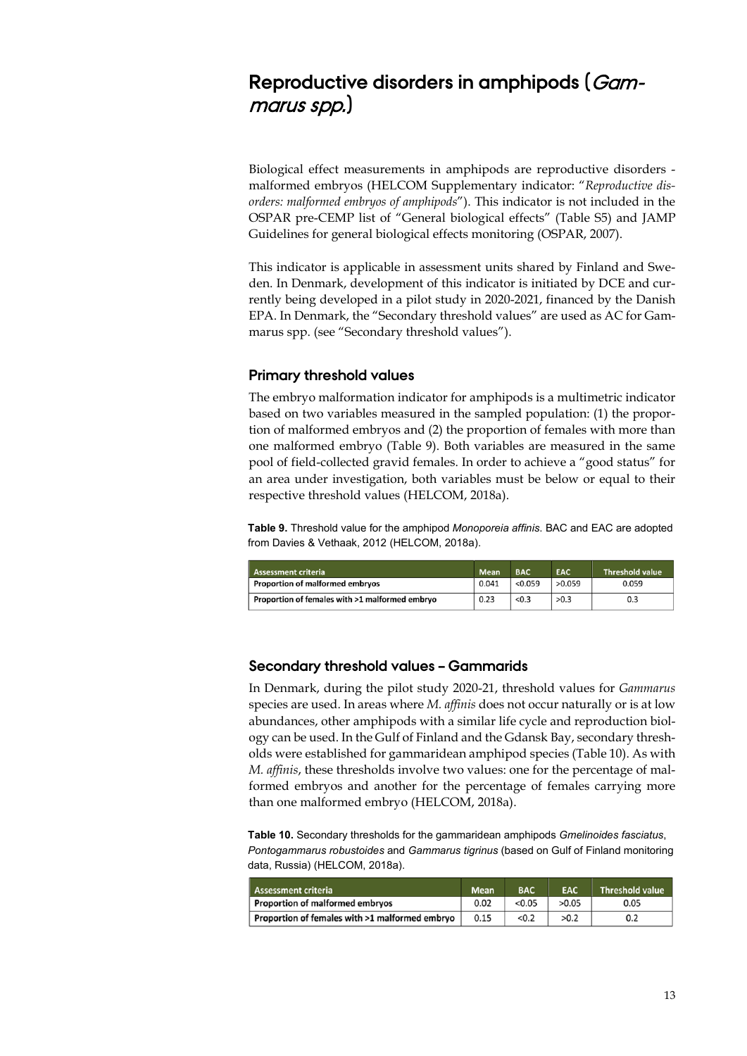# **Reproductive disorders in amphipods (**Gammarus spp.**)**

Biological effect measurements in amphipods are reproductive disorders malformed embryos (HELCOM Supplementary indicator: "*Reproductive disorders: malformed embryos of amphipods*"). This indicator is not included in the OSPAR pre-CEMP list of "General biological effects" (Table S5) and JAMP Guidelines for general biological effects monitoring (OSPAR, 2007).

This indicator is applicable in assessment units shared by Finland and Sweden. In Denmark, development of this indicator is initiated by DCE and currently being developed in a pilot study in 2020-2021, financed by the Danish EPA. In Denmark, the "Secondary threshold values" are used as AC for Gammarus spp. (see "Secondary threshold values").

#### **Primary threshold values**

The embryo malformation indicator for amphipods is a multimetric indicator based on two variables measured in the sampled population: (1) the proportion of malformed embryos and (2) the proportion of females with more than one malformed embryo (Table 9). Both variables are measured in the same pool of field-collected gravid females. In order to achieve a "good status" for an area under investigation, both variables must be below or equal to their respective threshold values (HELCOM, 2018a).

**Table 9.** Threshold value for the amphipod *Monoporeia affinis*. BAC and EAC are adopted from Davies & Vethaak, 2012 (HELCOM, 2018a).

| <b>Assessment criteria</b>                     | <b>Mean</b> | <b>BAC</b> | <b>EAC</b> | <b>Threshold value</b> |
|------------------------------------------------|-------------|------------|------------|------------------------|
| <b>Proportion of malformed embryos</b>         | 0.041       | < 0.059    | >0.059     | 0.059                  |
| Proportion of females with >1 malformed embryo | 0.23        | < 0.3      | >0.3       | 0.3                    |

#### **Secondary threshold values – Gammarids**

In Denmark, during the pilot study 2020-21, threshold values for *Gammarus* species are used. In areas where *M. affinis* does not occur naturally or is at low abundances, other amphipods with a similar life cycle and reproduction biology can be used. In the Gulf of Finland and the Gdansk Bay, secondary thresholds were established for gammaridean amphipod species (Table 10). As with *M. affinis*, these thresholds involve two values: one for the percentage of malformed embryos and another for the percentage of females carrying more than one malformed embryo (HELCOM, 2018a).

**Table 10.** Secondary thresholds for the gammaridean amphipods *Gmelinoides fasciatus*, *Pontogammarus robustoides* and *Gammarus tigrinus* (based on Gulf of Finland monitoring data, Russia) (HELCOM, 2018a).

| <b>Assessment criteria</b>                     | <b>Mean</b> | <b>BAC</b> | <b>EAC</b> | <b>Threshold value</b> |
|------------------------------------------------|-------------|------------|------------|------------------------|
| <b>Proportion of malformed embryos</b>         | 0.02        | < 0.05     | >0.05      | 0.05                   |
| Proportion of females with >1 malformed embryo | 0.15        | < 0.2      | >0.2       | 0.2                    |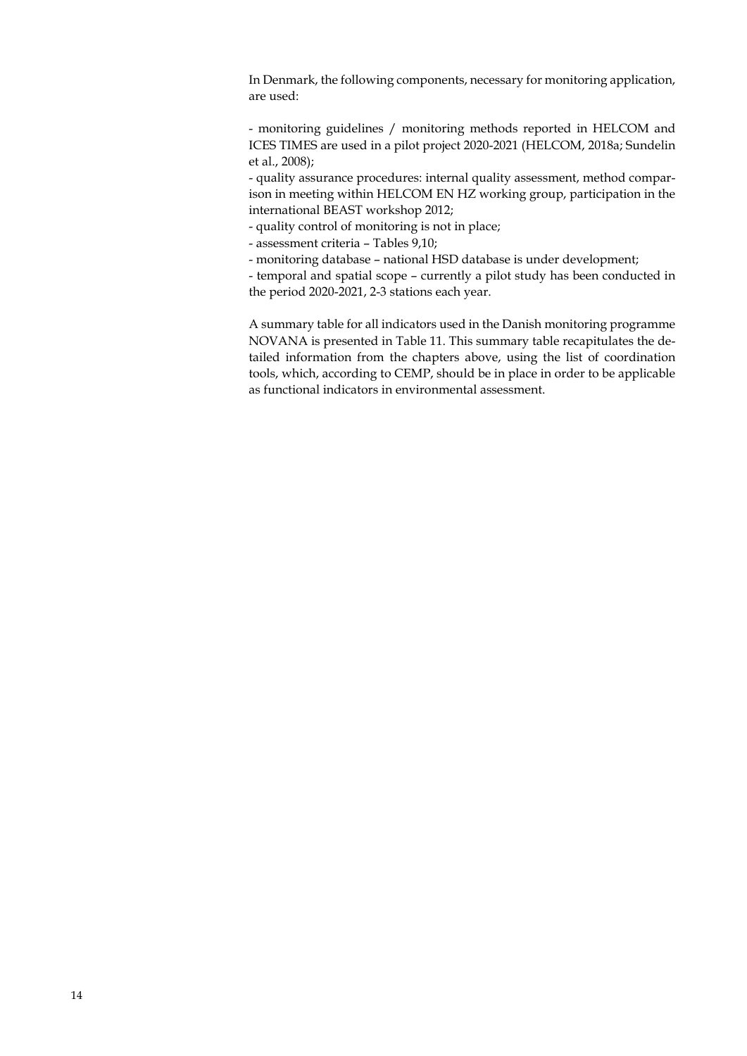In Denmark, the following components, necessary for monitoring application, are used:

- monitoring guidelines / monitoring methods reported in HELCOM and ICES TIMES are used in a pilot project 2020-2021 (HELCOM, 2018a; Sundelin et al., 2008);

- quality assurance procedures: internal quality assessment, method comparison in meeting within HELCOM EN HZ working group, participation in the international BEAST workshop 2012;

- quality control of monitoring is not in place;

- assessment criteria – Tables 9,10;

- monitoring database – national HSD database is under development;

- temporal and spatial scope – currently a pilot study has been conducted in the period 2020-2021, 2-3 stations each year.

A summary table for all indicators used in the Danish monitoring programme NOVANA is presented in Table 11. This summary table recapitulates the detailed information from the chapters above, using the list of coordination tools, which, according to CEMP, should be in place in order to be applicable as functional indicators in environmental assessment.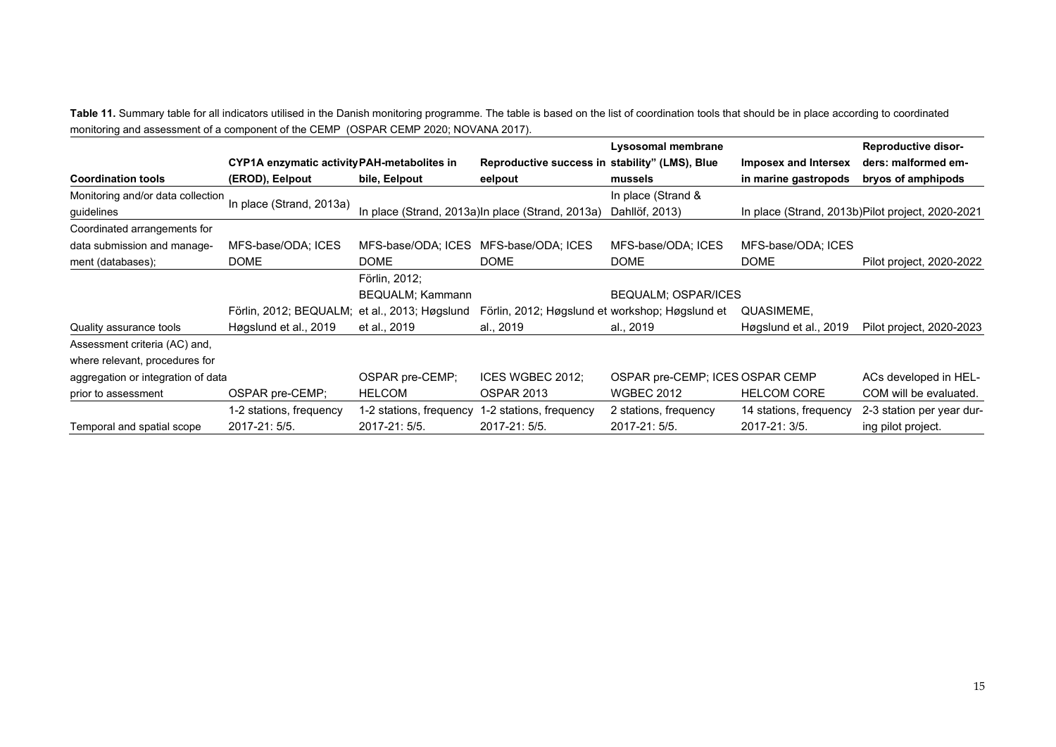Table 11. Summary table for all indicators utilised in the Danish monitoring programme. The table is based on the list of coordination tools that should be in place according to coordinated monitoring and assessment of a component of the CEMP (OSPAR CEMP 2020; NOVANA 2017).

|                                    |                                             |                          |                                                  | Lysosomal membrane              |                        | <b>Reproductive disor-</b>                        |
|------------------------------------|---------------------------------------------|--------------------------|--------------------------------------------------|---------------------------------|------------------------|---------------------------------------------------|
|                                    | CYP1A enzymatic activity PAH-metabolites in |                          | Reproductive success in stability" (LMS), Blue   |                                 | Imposex and Intersex   | ders: malformed em-                               |
| <b>Coordination tools</b>          | (EROD), Eelpout                             | bile, Eelpout            | eelpout                                          | mussels                         | in marine gastropods   | bryos of amphipods                                |
| Monitoring and/or data collection  | In place (Strand, 2013a)                    |                          |                                                  | In place (Strand &              |                        |                                                   |
| guidelines                         |                                             |                          | In place (Strand, 2013a)In place (Strand, 2013a) | Dahllöf, 2013)                  |                        | In place (Strand, 2013b) Pilot project, 2020-2021 |
| Coordinated arrangements for       |                                             |                          |                                                  |                                 |                        |                                                   |
| data submission and manage-        | MFS-base/ODA; ICES                          | MFS-base/ODA; ICES       | MFS-base/ODA; ICES                               | MFS-base/ODA; ICES              | MFS-base/ODA; ICES     |                                                   |
| ment (databases);                  | <b>DOME</b>                                 | <b>DOME</b>              | <b>DOME</b>                                      | <b>DOME</b>                     | <b>DOME</b>            | Pilot project, 2020-2022                          |
|                                    |                                             | Förlin, 2012;            |                                                  |                                 |                        |                                                   |
|                                    |                                             | <b>BEQUALM</b> ; Kammann |                                                  | <b>BEQUALM: OSPAR/ICES</b>      |                        |                                                   |
|                                    | Förlin, 2012; BEQUALM;                      | et al., 2013; Høgslund   | Förlin, 2012; Høgslund et workshop; Høgslund et  |                                 | QUASIMEME,             |                                                   |
| Quality assurance tools            | Høgslund et al., 2019                       | et al., 2019             | al., 2019                                        | al., 2019                       | Høgslund et al., 2019  | Pilot project, 2020-2023                          |
| Assessment criteria (AC) and,      |                                             |                          |                                                  |                                 |                        |                                                   |
| where relevant, procedures for     |                                             |                          |                                                  |                                 |                        |                                                   |
| aggregation or integration of data |                                             | OSPAR pre-CEMP;          | ICES WGBEC 2012;                                 | OSPAR pre-CEMP; ICES OSPAR CEMP |                        | ACs developed in HEL-                             |
| prior to assessment                | OSPAR pre-CEMP;                             | <b>HELCOM</b>            | <b>OSPAR 2013</b>                                | <b>WGBEC 2012</b>               | <b>HELCOM CORE</b>     | COM will be evaluated.                            |
|                                    | 1-2 stations, frequency                     | 1-2 stations, frequency  | 1-2 stations, frequency                          | 2 stations, frequency           | 14 stations, frequency | 2-3 station per year dur-                         |
| Temporal and spatial scope         | 2017-21: 5/5.                               | 2017-21: 5/5.            | 2017-21: 5/5.                                    | 2017-21: 5/5.                   | 2017-21: 3/5.          | ing pilot project.                                |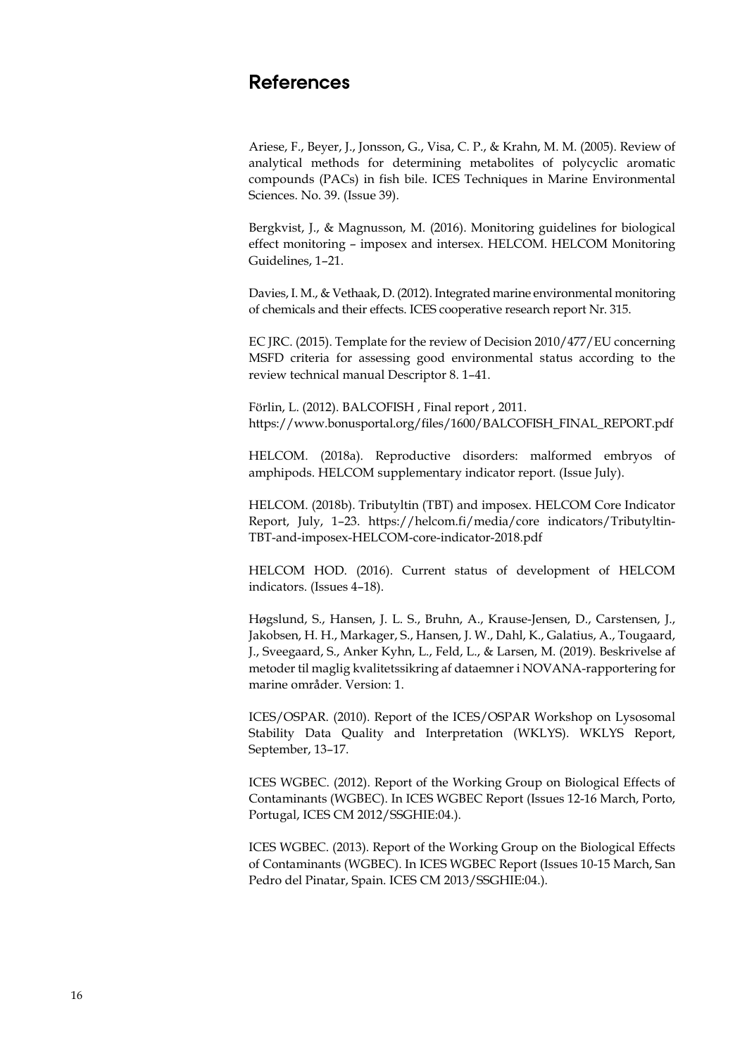### **References**

Ariese, F., Beyer, J., Jonsson, G., Visa, C. P., & Krahn, M. M. (2005). Review of analytical methods for determining metabolites of polycyclic aromatic compounds (PACs) in fish bile. ICES Techniques in Marine Environmental Sciences. No. 39. (Issue 39).

Bergkvist, J., & Magnusson, M. (2016). Monitoring guidelines for biological effect monitoring – imposex and intersex. HELCOM. HELCOM Monitoring Guidelines, 1–21.

Davies, I. M., & Vethaak, D. (2012). Integrated marine environmental monitoring of chemicals and their effects. ICES cooperative research report Nr. 315.

EC JRC. (2015). Template for the review of Decision 2010/477/EU concerning MSFD criteria for assessing good environmental status according to the review technical manual Descriptor 8. 1–41.

Förlin, L. (2012). BALCOFISH , Final report , 2011. https://www.bonusportal.org/files/1600/BALCOFISH\_FINAL\_REPORT.pdf

HELCOM. (2018a). Reproductive disorders: malformed embryos of amphipods. HELCOM supplementary indicator report. (Issue July).

HELCOM. (2018b). Tributyltin (TBT) and imposex. HELCOM Core Indicator Report, July, 1–23. https://helcom.fi/media/core indicators/Tributyltin-TBT-and-imposex-HELCOM-core-indicator-2018.pdf

HELCOM HOD. (2016). Current status of development of HELCOM indicators. (Issues 4–18).

Høgslund, S., Hansen, J. L. S., Bruhn, A., Krause-Jensen, D., Carstensen, J., Jakobsen, H. H., Markager, S., Hansen, J. W., Dahl, K., Galatius, A., Tougaard, J., Sveegaard, S., Anker Kyhn, L., Feld, L., & Larsen, M. (2019). Beskrivelse af metoder til maglig kvalitetssikring af dataemner i NOVANA-rapportering for marine områder. Version: 1.

ICES/OSPAR. (2010). Report of the ICES/OSPAR Workshop on Lysosomal Stability Data Quality and Interpretation (WKLYS). WKLYS Report, September, 13–17.

ICES WGBEC. (2012). Report of the Working Group on Biological Effects of Contaminants (WGBEC). In ICES WGBEC Report (Issues 12-16 March, Porto, Portugal, ICES CM 2012/SSGHIE:04.).

ICES WGBEC. (2013). Report of the Working Group on the Biological Effects of Contaminants (WGBEC). In ICES WGBEC Report (Issues 10-15 March, San Pedro del Pinatar, Spain. ICES CM 2013/SSGHIE:04.).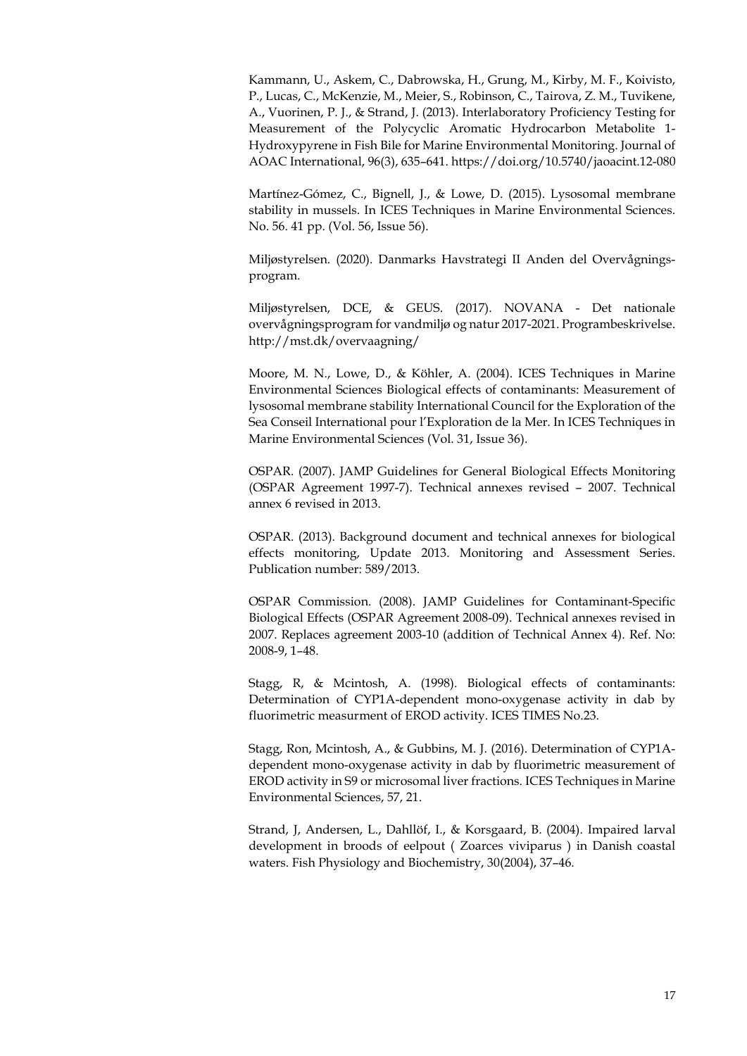Kammann, U., Askem, C., Dabrowska, H., Grung, M., Kirby, M. F., Koivisto, P., Lucas, C., McKenzie, M., Meier, S., Robinson, C., Tairova, Z. M., Tuvikene, A., Vuorinen, P. J., & Strand, J. (2013). Interlaboratory Proficiency Testing for Measurement of the Polycyclic Aromatic Hydrocarbon Metabolite 1- Hydroxypyrene in Fish Bile for Marine Environmental Monitoring. Journal of AOAC International, 96(3), 635–641. https://doi.org/10.5740/jaoacint.12-080

Martínez-Gómez, C., Bignell, J., & Lowe, D. (2015). Lysosomal membrane stability in mussels. In ICES Techniques in Marine Environmental Sciences. No. 56. 41 pp. (Vol. 56, Issue 56).

Miljøstyrelsen. (2020). Danmarks Havstrategi II Anden del Overvågningsprogram.

Miljøstyrelsen, DCE, & GEUS. (2017). NOVANA - Det nationale overvågningsprogram for vandmiljø og natur 2017-2021. Programbeskrivelse. http://mst.dk/overvaagning/

Moore, M. N., Lowe, D., & Köhler, A. (2004). ICES Techniques in Marine Environmental Sciences Biological effects of contaminants: Measurement of lysosomal membrane stability International Council for the Exploration of the Sea Conseil International pour l'Exploration de la Mer. In ICES Techniques in Marine Environmental Sciences (Vol. 31, Issue 36).

OSPAR. (2007). JAMP Guidelines for General Biological Effects Monitoring (OSPAR Agreement 1997-7). Technical annexes revised – 2007. Technical annex 6 revised in 2013.

OSPAR. (2013). Background document and technical annexes for biological effects monitoring, Update 2013. Monitoring and Assessment Series. Publication number: 589/2013.

OSPAR Commission. (2008). JAMP Guidelines for Contaminant-Specific Biological Effects (OSPAR Agreement 2008-09). Technical annexes revised in 2007. Replaces agreement 2003-10 (addition of Technical Annex 4). Ref. No: 2008-9, 1–48.

Stagg, R, & Mcintosh, A. (1998). Biological effects of contaminants: Determination of CYP1A-dependent mono-oxygenase activity in dab by fluorimetric measurment of EROD activity. ICES TIMES No.23.

Stagg, Ron, Mcintosh, A., & Gubbins, M. J. (2016). Determination of CYP1Adependent mono-oxygenase activity in dab by fluorimetric measurement of EROD activity in S9 or microsomal liver fractions. ICES Techniques in Marine Environmental Sciences, 57, 21.

Strand, J, Andersen, L., Dahllöf, I., & Korsgaard, B. (2004). Impaired larval development in broods of eelpout ( Zoarces viviparus ) in Danish coastal waters. Fish Physiology and Biochemistry, 30(2004), 37–46.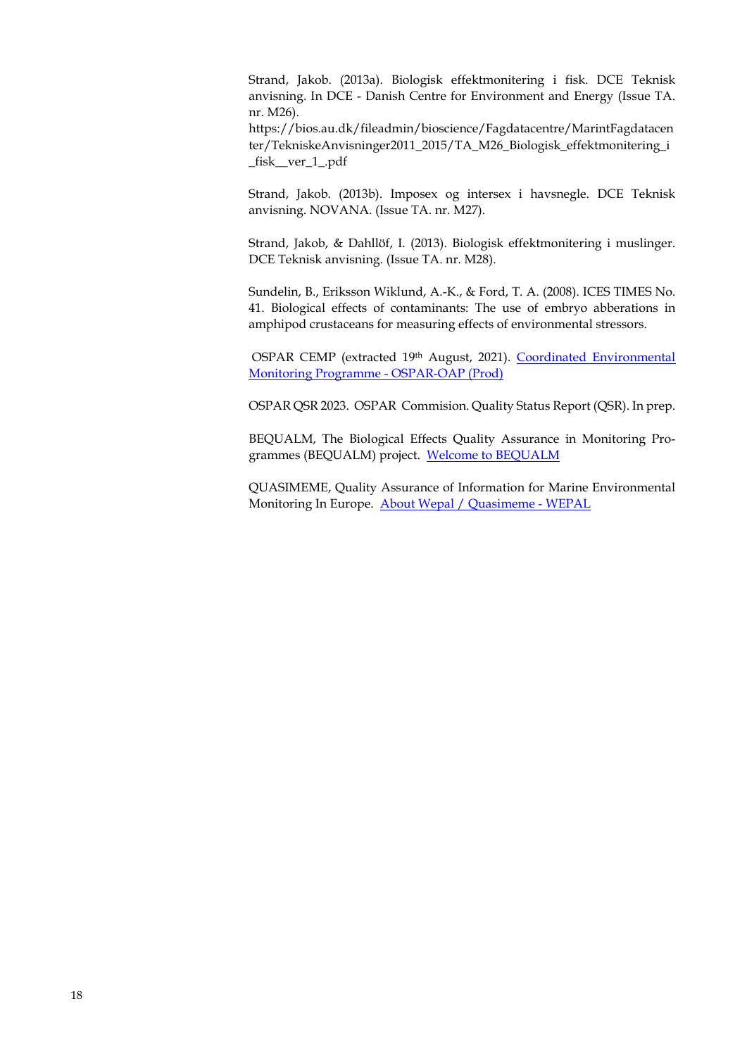Strand, Jakob. (2013a). Biologisk effektmonitering i fisk. DCE Teknisk anvisning. In DCE - Danish Centre for Environment and Energy (Issue TA. nr. M26).

https://bios.au.dk/fileadmin/bioscience/Fagdatacentre/MarintFagdatacen ter/TekniskeAnvisninger2011\_2015/TA\_M26\_Biologisk\_effektmonitering\_i \_fisk\_\_ver\_1\_.pdf

Strand, Jakob. (2013b). Imposex og intersex i havsnegle. DCE Teknisk anvisning. NOVANA. (Issue TA. nr. M27).

Strand, Jakob, & Dahllöf, I. (2013). Biologisk effektmonitering i muslinger. DCE Teknisk anvisning. (Issue TA. nr. M28).

Sundelin, B., Eriksson Wiklund, A.-K., & Ford, T. A. (2008). ICES TIMES No. 41. Biological effects of contaminants: The use of embryo abberations in amphipod crustaceans for measuring effects of environmental stressors.

OSPAR CEMP (extracted 19th August, 2021). Coordinated Environmental [Monitoring Programme -](https://oap.ospar.org/en/ospar-monitoring-programmes/cemp/) OSPAR-OAP (Prod)

OSPAR QSR 2023. OSPAR Commision. Quality Status Report (QSR). In prep.

BEQUALM, The Biological Effects Quality Assurance in Monitoring Programmes (BEQUALM) project. [Welcome to BEQUALM](http://www.bequalm.org/about.htm)

QUASIMEME, Quality Assurance of Information for Marine Environmental Monitoring In Europe. [About Wepal / Quasimeme -](https://www.wepal.nl/en/wepal/About-us.htm) WEPAL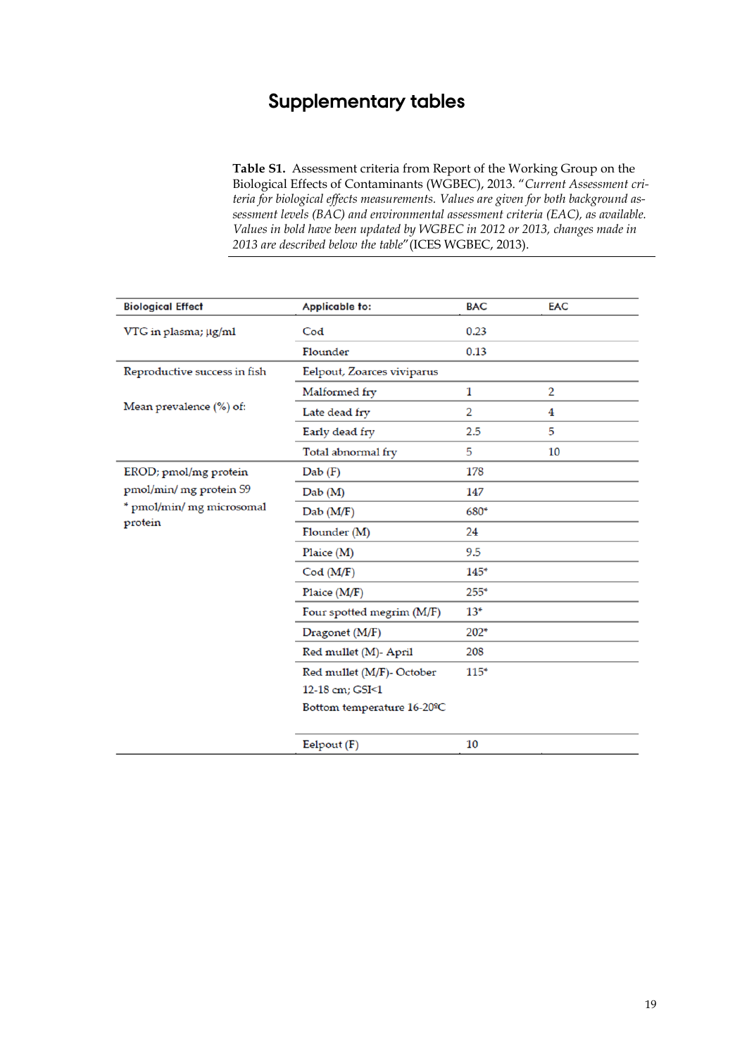### **Supplementary tables**

**Table S1.** Assessment criteria from Report of the Working Group on the Biological Effects of Contaminants (WGBEC), 2013. "*Current Assessment criteria for biological effects measurements. Values are given for both background assessment levels (BAC) and environmental assessment criteria (EAC), as available. Values in bold have been updated by WGBEC in 2012 or 2013, changes made in 2013 are described below the table*"(ICES WGBEC, 2013).

| <b>Biological Effect</b>     | Applicable to:             | <b>BAC</b>     | <b>EAC</b> |
|------------------------------|----------------------------|----------------|------------|
| VTG in plasma; µg/ml         | Cod                        | 0.23           |            |
|                              | Flounder                   | 0.13           |            |
| Reproductive success in fish | Eelpout, Zoarces viviparus |                |            |
|                              | Malformed fry              | 1              | 2          |
| Mean prevalence (%) of:      | Late dead fry              | $\overline{2}$ | 4          |
|                              | Early dead fry             | 2.5            | 5          |
|                              | Total abnormal fry         | 5              | 10         |
| EROD; pmol/mg protein        | Dab(F)                     | 178            |            |
| pmol/min/ mg protein S9      | Dab(M)                     | 147            |            |
| * pmol/min/ mg microsomal    | Dab(M/F)                   | 680*           |            |
| protein                      | Flounder (M)               | 24             |            |
|                              | Plaice (M)                 | 9.5            |            |
|                              | Cod(M/F)                   | $145*$         |            |
|                              | Plaice (M/F)               | $255*$         |            |
|                              | Four spotted megrim (M/F)  | $13*$          |            |
|                              | Dragonet (M/F)             | 202*           |            |
|                              | Red mullet (M)- April      | 208            |            |
|                              | Red mullet (M/F)- October  | $115*$         |            |
|                              | 12-18 cm: GSI<1            |                |            |
|                              | Bottom temperature 16-20°C |                |            |
|                              | Eelpout (F)                | 10             |            |
|                              |                            |                |            |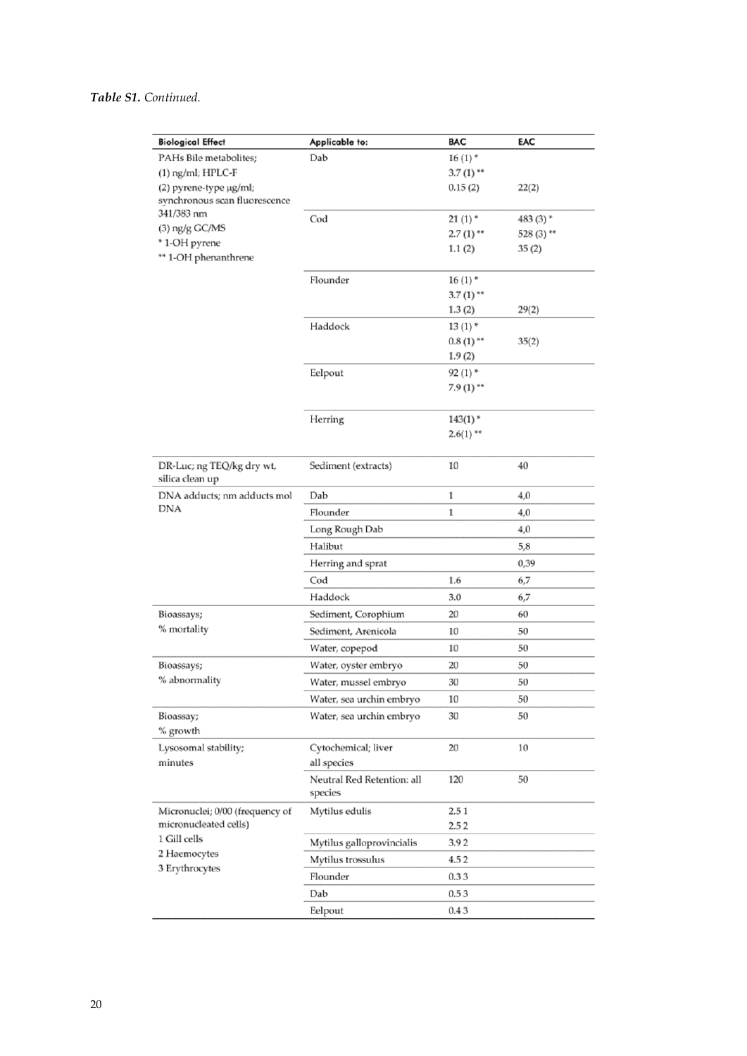| <b>Biological Effect</b>                     | Applicable to:             | <b>BAC</b>               | EAC        |
|----------------------------------------------|----------------------------|--------------------------|------------|
| PAHs Bile metabolites;                       | Dab                        | $16(1)$ *                |            |
| $(1)$ ng/ml; HPLC-F                          |                            | $3.7(1)$ **              |            |
| (2) pyrene-type µg/ml;                       |                            | 0.15(2)                  | 22(2)      |
| synchronous scan fluorescence<br>341/383 nm  |                            |                          |            |
| $(3)$ ng/g GC/MS                             | Cod                        | 21(1)                    | 483 (3) *  |
| * 1-OH pyrene                                |                            | $2.7(1)$ **              | 528 (3) ** |
| ** 1-OH phenanthrene                         |                            | 1.1(2)                   | 35(2)      |
|                                              |                            |                          |            |
|                                              | Flounder                   | $16(1)$ *<br>$3.7(1)$ ** |            |
|                                              |                            | 1.3(2)                   | 29(2)      |
|                                              | Haddock                    | $13(1)$ *                |            |
|                                              |                            | $0.8(1)$ <sup>**</sup>   | 35(2)      |
|                                              |                            | 1.9(2)                   |            |
|                                              | Eelpout                    | $92(1)$ *                |            |
|                                              |                            | $7.9(1)$ **              |            |
|                                              |                            |                          |            |
|                                              | Herring                    | $143(1)$ *               |            |
|                                              |                            | $2.6(1)$ **              |            |
|                                              |                            |                          |            |
| DR-Luc; ng TEQ/kg dry wt,<br>silica clean up | Sediment (extracts)        | 10                       | 40         |
| DNA adducts; nm adducts mol                  | Dab                        | 1                        | 4,0        |
| DNA                                          | Flounder                   | 1                        | 4,0        |
|                                              | Long Rough Dab             |                          | 4,0        |
|                                              | Halibut                    |                          | 5,8        |
|                                              | Herring and sprat          |                          | 0,39       |
|                                              | Cod                        | 1.6                      | 6,7        |
|                                              | Haddock                    | 3.0                      | 6,7        |
| Bioassays;                                   | Sediment, Corophium        | 20                       | 60         |
| % mortality                                  | Sediment, Arenicola        | 10                       | 50         |
|                                              | Water, copepod             | 10                       | 50         |
| Bioassays;                                   | Water, oyster embryo       | 20                       | 50         |
| % abnormality                                | Water, mussel embryo       | 30                       | 50         |
|                                              | Water, sea urchin embryo   | 10                       | 50         |
| Bioassay;                                    | Water, sea urchin embryo   | 30                       | 50         |
| % growth                                     |                            |                          |            |
| Lysosomal stability;                         | Cytochemical; liver        | 20                       | 10         |
| minutes                                      | all species                |                          |            |
|                                              | Neutral Red Retention: all | 120                      | 50         |
|                                              | species                    |                          |            |
| Micronuclei; 0/00 (frequency of              | Mytilus edulis             | 2.51                     |            |
| micronucleated cells)                        |                            | 2.52                     |            |
| 1 Gill cells<br>2 Haemocytes                 | Mytilus galloprovincialis  | 3.92                     |            |
| 3 Erythrocytes                               | Mytilus trossulus          | 4.52                     |            |
|                                              | Flounder                   | 0.33                     |            |
|                                              | Dab                        | 0.53                     |            |
|                                              | Eelpout                    | 0.43                     |            |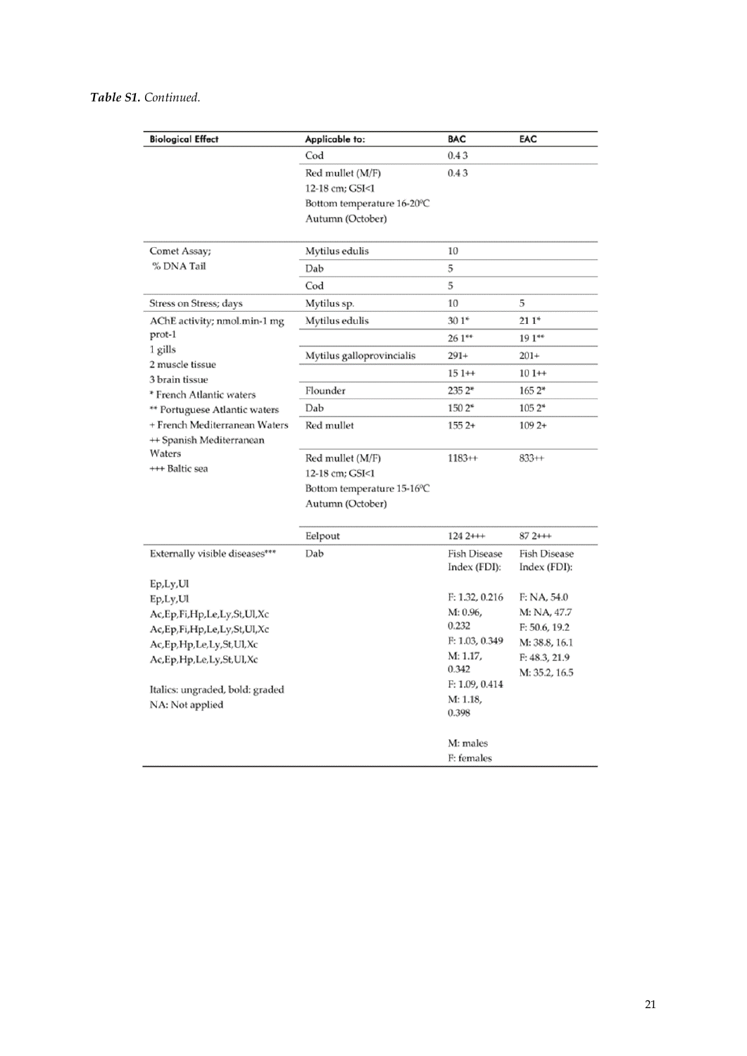| <b>Biological Effect</b>                                     | Applicable to:             | <b>BAC</b>                 | EAC                        |
|--------------------------------------------------------------|----------------------------|----------------------------|----------------------------|
|                                                              | Cod                        | 0.43                       |                            |
|                                                              | Red mullet (M/F)           | 0.43                       |                            |
|                                                              | 12-18 cm; GSI<1            |                            |                            |
|                                                              | Bottom temperature 16-20°C |                            |                            |
|                                                              | Autumn (October)           |                            |                            |
|                                                              |                            |                            |                            |
| Comet Assay;                                                 | Mytilus edulis             | 10                         |                            |
| % DNA Tail                                                   | Dab                        | 5                          |                            |
|                                                              | Cod                        | 5                          |                            |
| Stress on Stress; days                                       | Mytilus sp.                | 10                         | 5                          |
| AChE activity; nmol.min-1 mg                                 | Mytilus edulis             | $301*$                     | $211*$                     |
| prot-1                                                       |                            | 26.1**                     | 19 1**                     |
| 1 gills                                                      | Mytilus galloprovincialis  | $291+$                     | $201+$                     |
| 2 muscle tissue<br>3 brain tissue                            |                            | $151+$                     | $101++$                    |
| * French Atlantic waters                                     | Flounder                   | $235.2*$                   | 1652*                      |
| ** Portuguese Atlantic waters                                | Dab                        | 150 2*                     | 1052*                      |
| + French Mediterranean Waters                                | Red mullet                 | $1552+$                    | $1092+$                    |
| ++ Spanish Mediterranean                                     |                            |                            |                            |
| Waters<br>+++ Baltic sea                                     | Red mullet (M/F)           | $1183++$                   | $833++$                    |
|                                                              | 12-18 cm; GSI<1            |                            |                            |
|                                                              | Bottom temperature 15-16°C |                            |                            |
|                                                              | Autumn (October)           |                            |                            |
|                                                              |                            |                            |                            |
|                                                              | Eelpout                    | $1242++$                   | $872++$                    |
| Externally visible diseases***                               | Dab                        | <b>Fish Disease</b>        | <b>Fish Disease</b>        |
|                                                              |                            | Index (FDI):               | Index (FDI):               |
| Ep,Ly,UI                                                     |                            |                            |                            |
| Ep,Ly,UI                                                     |                            | F: 1.32, 0.216<br>M: 0.96, | F: NA, 54.0<br>M: NA, 47.7 |
| Ac,Ep,Fi,Hp,Le,Ly,St,Ul,Xc                                   |                            | 0.232                      | F: 50.6, 19.2              |
| Ac,Ep,Fi,Hp,Le,Ly,St,Ul,Xc<br>Ac, Ep, Hp, Le, Ly, St, Ul, Xc |                            | F: 1.03, 0.349             | M: 38.8, 16.1              |
| Ac, Ep, Hp, Le, Ly, St, Ul, Xc                               |                            | M: 1.17,                   | F: 48.3, 21.9              |
|                                                              |                            | 0.342                      | M: 35.2, 16.5              |
| Italics: ungraded, bold: graded                              |                            | F: 1.09, 0.414             |                            |
| NA: Not applied                                              |                            | M: 1.18,                   |                            |
|                                                              |                            | 0.398                      |                            |
|                                                              |                            | M: males                   |                            |
|                                                              |                            | F: females                 |                            |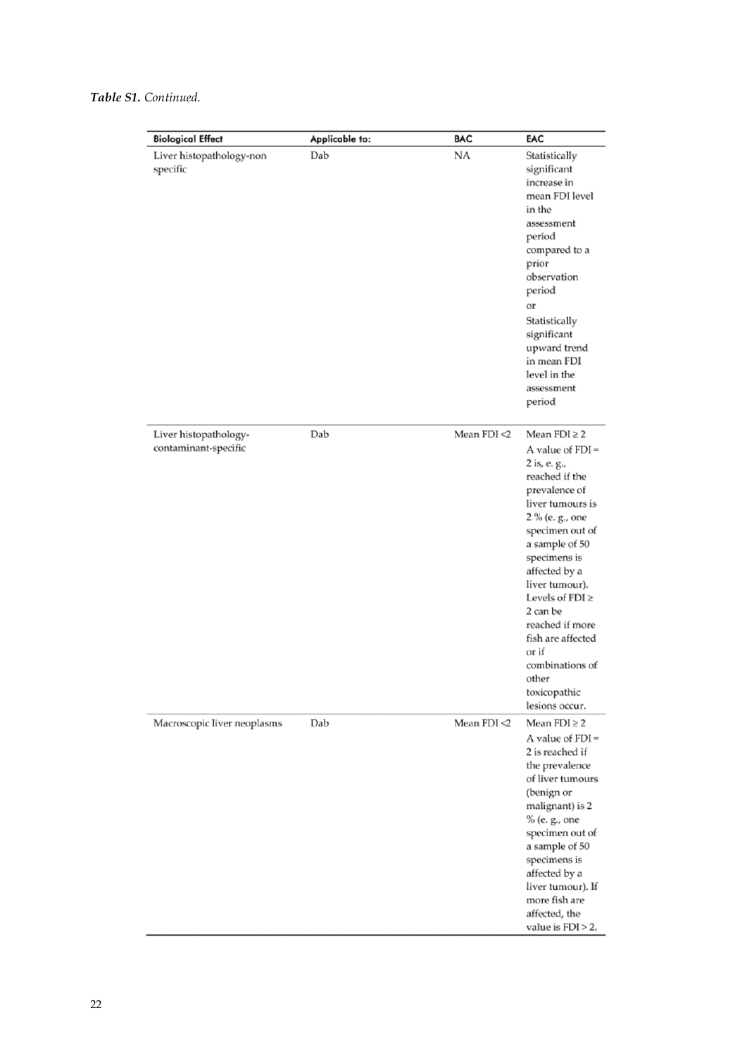| <b>Biological Effect</b>                      | Applicable to: | <b>BAC</b>     | EAC                                                                                                                                                                                                                                                                                                                                                                          |
|-----------------------------------------------|----------------|----------------|------------------------------------------------------------------------------------------------------------------------------------------------------------------------------------------------------------------------------------------------------------------------------------------------------------------------------------------------------------------------------|
| Liver histopathology-non<br>specific          | Dab            | NA             | Statistically<br>significant<br>increase in<br>mean FDI level<br>in the<br>assessment<br>period<br>compared to a<br>prior<br>observation<br>period<br>or<br>Statistically<br>significant<br>upward trend<br>in mean FDI<br>level in the<br>assessment<br>period                                                                                                              |
| Liver histopathology-<br>contaminant-specific | Dab            | Mean $FDI < 2$ | Mean $FDI \geq 2$<br>A value of $FDI =$<br>2 is, e. g.,<br>reached if the<br>prevalence of<br>liver tumours is<br>2 % (e. g., one<br>specimen out of<br>a sample of 50<br>specimens is<br>affected by a<br>liver tumour).<br>Levels of $FDI \geq$<br>2 can be<br>reached if more<br>fish are affected<br>or if<br>combinations of<br>other<br>toxicopathic<br>lesions occur. |
| Macroscopic liver neoplasms                   | Dab            | Mean $FDI < 2$ | Mean $FDI \geq 2$<br>A value of $FDI =$<br>2 is reached if<br>the prevalence<br>of liver tumours<br>(benign or<br>malignant) is 2<br>% (e. g., one<br>specimen out of<br>a sample of 50<br>specimens is<br>affected by a<br>liver tumour). If<br>more fish are<br>affected, the<br>value is $FDI > 2$ .                                                                      |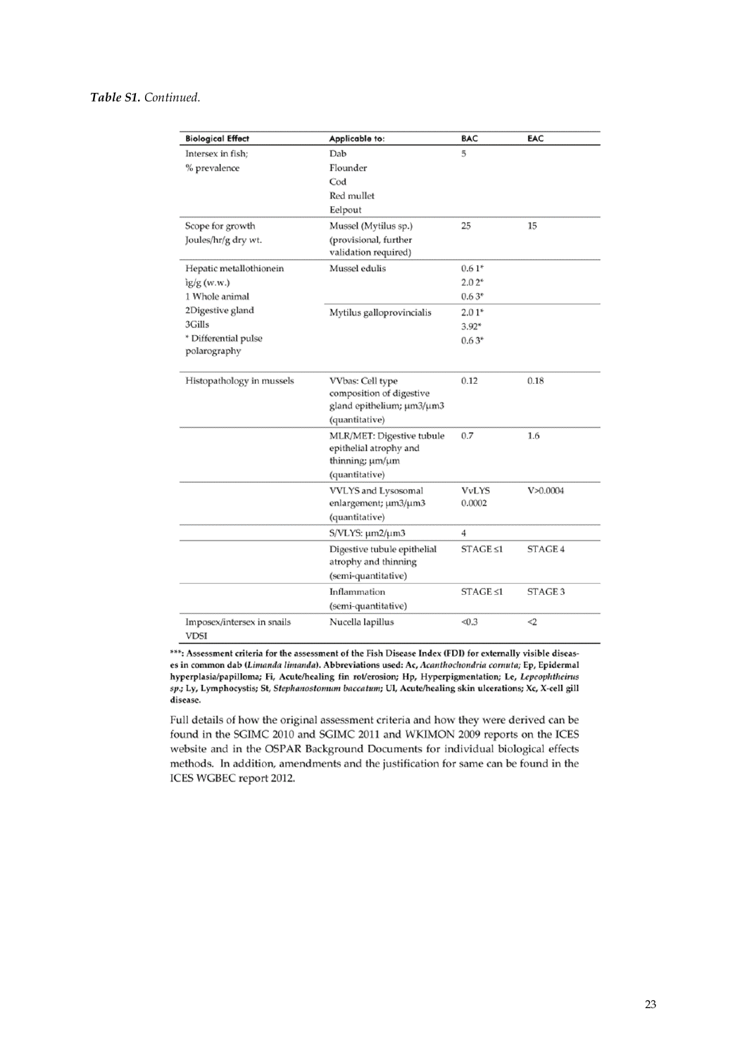| <b>Biological Effect</b>                  | Applicable to:                                        | <b>BAC</b>     | EAC            |
|-------------------------------------------|-------------------------------------------------------|----------------|----------------|
| Intersex in fish;                         | Dab                                                   | 5              |                |
| % prevalence                              | Flounder                                              |                |                |
|                                           | Cod                                                   |                |                |
|                                           | Red mullet                                            |                |                |
|                                           | Eelpout                                               |                |                |
| Scope for growth                          | Mussel (Mytilus sp.)                                  | 25             | 15             |
| Joules/hr/g dry wt.                       | (provisional, further                                 |                |                |
|                                           | validation required)                                  |                |                |
| Hepatic metallothionein                   | Mussel edulis                                         | $0.61*$        |                |
| ig/g(w.w.)                                |                                                       | $2.02*$        |                |
| 1 Whole animal                            |                                                       | $0.63*$        |                |
| 2Digestive gland                          | Mytilus galloprovincialis                             | $2.01*$        |                |
| 3Gills                                    |                                                       | $3.92*$        |                |
| * Differential pulse                      |                                                       | $0.63*$        |                |
| polarography                              |                                                       |                |                |
| Histopathology in mussels                 | VVbas: Cell type                                      | 0.12           | 0.18           |
|                                           | composition of digestive<br>gland epithelium; µm3/µm3 |                |                |
|                                           | (quantitative)                                        |                |                |
|                                           | MLR/MET: Digestive tubule                             | 0.7            | 1.6            |
|                                           | epithelial atrophy and                                |                |                |
|                                           | thinning; um/um                                       |                |                |
|                                           | (quantitative)                                        |                |                |
|                                           | VVLYS and Lysosomal                                   | <b>VvLYS</b>   | V > 0.0004     |
|                                           | enlargement; µm3/µm3                                  | 0.0002         |                |
|                                           | (quantitative)                                        |                |                |
|                                           | S/VLYS: µm2/µm3                                       | 4              |                |
|                                           | Digestive tubule epithelial                           | $STAGE \leq 1$ | <b>STAGE 4</b> |
|                                           | atrophy and thinning                                  |                |                |
|                                           | (semi-quantitative)                                   |                |                |
|                                           | Inflammation                                          | $STAGE \leq 1$ | STAGE 3        |
|                                           | (semi-quantitative)                                   |                |                |
| Imposex/intersex in snails<br><b>VDSI</b> | Nucella lapillus                                      | < 0.3          | $<$ 2          |

\*\*\*: Assessment criteria for the assessment of the Fish Disease Index (FDI) for externally visible diseases in common dab (Limanda limanda). Abbreviations used: Ac, Acanthochondria cornuta; Ep, Epidermal hyperplasia/papilloma; Fi, Acute/healing fin rot/erosion; Hp, Hyperpigmentation; Le, Lepeophtheirus sp.; Ly, Lymphocystis; St, Stephanostomum baccatum; Ul, Acute/healing skin ulcerations; Xc, X-cell gill disease.

Full details of how the original assessment criteria and how they were derived can be found in the SGIMC 2010 and SGIMC 2011 and WKIMON 2009 reports on the ICES website and in the OSPAR Background Documents for individual biological effects methods. In addition, amendments and the justification for same can be found in the ICES WGBEC report 2012.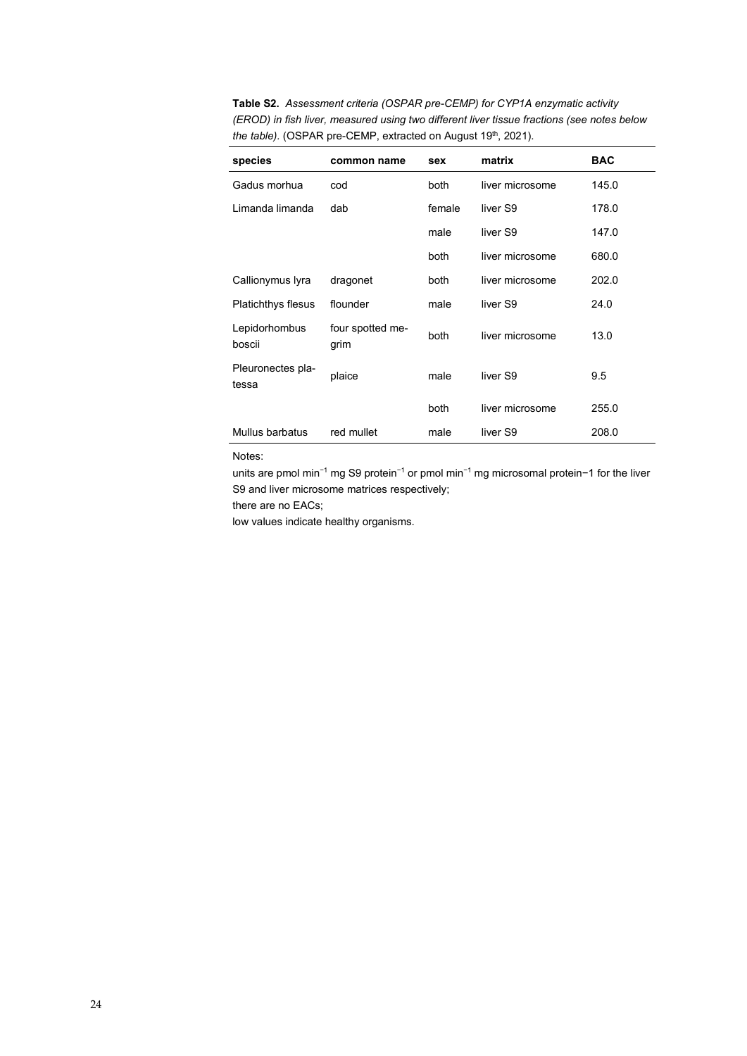**Table S2.** *Assessment criteria (OSPAR pre-CEMP) for CYP1A enzymatic activity (EROD) in fish liver, measured using two different liver tissue fractions (see notes below the table).* (OSPAR pre-CEMP, extracted on August 19<sup>th</sup>, 2021).

| species                    | common name              | sex    | matrix          | <b>BAC</b> |
|----------------------------|--------------------------|--------|-----------------|------------|
| Gadus morhua               | cod                      | both   | liver microsome | 145.0      |
| Limanda limanda            | dab                      | female | liver S9        | 178.0      |
|                            |                          | male   | liver S9        | 147.0      |
|                            |                          | both   | liver microsome | 680.0      |
| Callionymus lyra           | dragonet                 | both   | liver microsome | 202.0      |
| <b>Platichthys flesus</b>  | flounder                 | male   | liver S9        | 24.0       |
| Lepidorhombus<br>boscii    | four spotted me-<br>grim | both   | liver microsome | 13.0       |
| Pleuronectes pla-<br>tessa | plaice                   | male   | liver S9        | 9.5        |
|                            |                          | both   | liver microsome | 255.0      |
| Mullus barbatus            | red mullet               | male   | liver S9        | 208.0      |

#### Notes:

units are pmol min−1 mg S9 protein−1 or pmol min−1 mg microsomal protein−1 for the liver S9 and liver microsome matrices respectively;

there are no EACs;

low values indicate healthy organisms.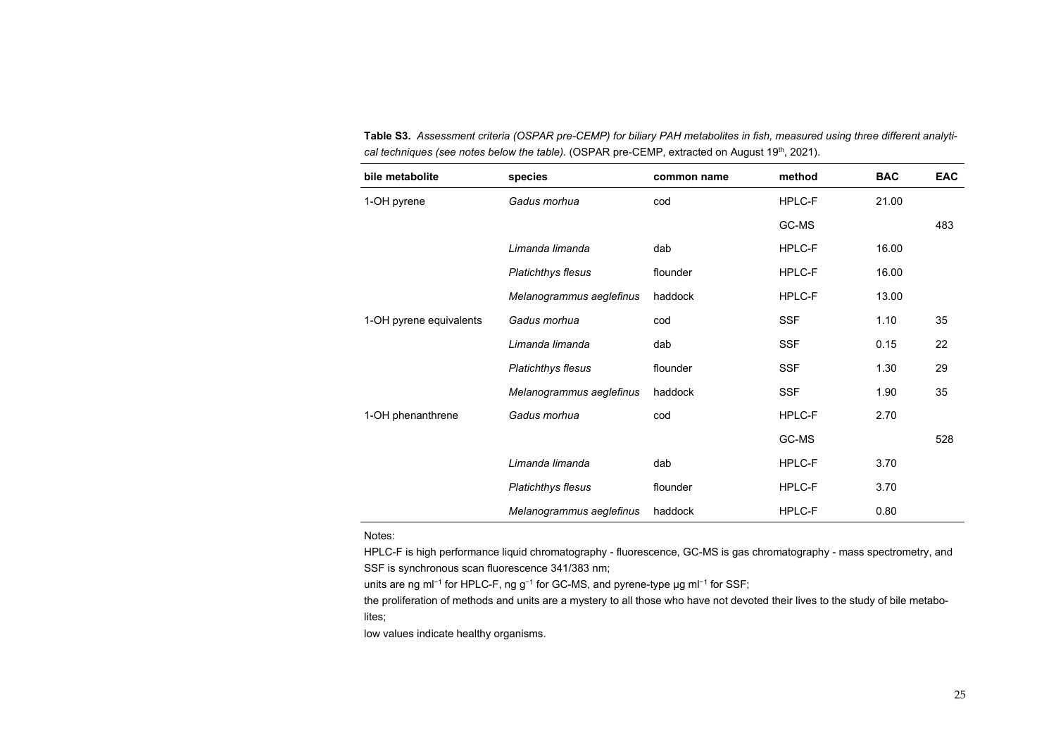| bile metabolite         | species                   | common name | method     | <b>BAC</b> | <b>EAC</b> |
|-------------------------|---------------------------|-------------|------------|------------|------------|
| 1-OH pyrene             | Gadus morhua              | cod         | HPLC-F     | 21.00      |            |
|                         |                           |             | GC-MS      |            | 483        |
|                         | Limanda limanda           | dab         | HPLC-F     | 16.00      |            |
|                         | <b>Platichthys flesus</b> | flounder    | HPLC-F     | 16.00      |            |
|                         | Melanogrammus aeglefinus  | haddock     | HPLC-F     | 13.00      |            |
| 1-OH pyrene equivalents | Gadus morhua              | cod         | <b>SSF</b> | 1.10       | 35         |
|                         | Limanda limanda           | dab         | <b>SSF</b> | 0.15       | 22         |
|                         | <b>Platichthys flesus</b> | flounder    | <b>SSF</b> | 1.30       | 29         |
|                         | Melanogrammus aeglefinus  | haddock     | <b>SSF</b> | 1.90       | 35         |
| 1-OH phenanthrene       | Gadus morhua              | cod         | HPLC-F     | 2.70       |            |
|                         |                           |             | GC-MS      |            | 528        |
|                         | Limanda limanda           | dab         | HPLC-F     | 3.70       |            |
|                         | <b>Platichthys flesus</b> | flounder    | HPLC-F     | 3.70       |            |
|                         | Melanogrammus aeglefinus  | haddock     | HPLC-F     | 0.80       |            |

**Table S3.** *Assessment criteria (OSPAR pre-CEMP) for biliary PAH metabolites in fish, measured using three different analytical techniques (see notes below the table).* (OSPAR pre-CEMP, extracted on August 19<sup>th</sup>, 2021).

Notes:

HPLC-F is high performance liquid chromatography - fluorescence, GC-MS is gas chromatography - mass spectrometry, and SSF is synchronous scan fluorescence 341/383 nm;

units are ng ml<sup>-1</sup> for HPLC-F, ng g<sup>-1</sup> for GC-MS, and pyrene-type μg ml<sup>-1</sup> for SSF;

the proliferation of methods and units are a mystery to all those who have not devoted their lives to the study of bile metabolites;

low values indicate healthy organisms.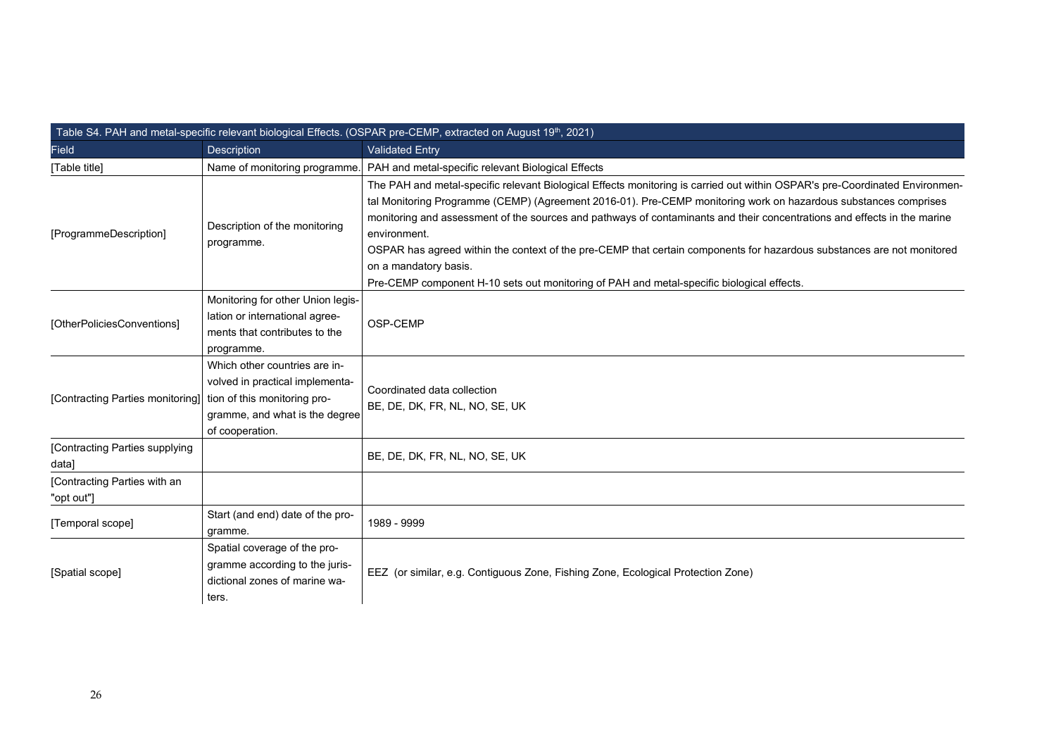| Table S4. PAH and metal-specific relevant biological Effects. (OSPAR pre-CEMP, extracted on August 19 <sup>th</sup> , 2021) |                                                                                                                       |                                                                                                                                                                                                                                                                                                                                                                                                                                                                                                                      |  |
|-----------------------------------------------------------------------------------------------------------------------------|-----------------------------------------------------------------------------------------------------------------------|----------------------------------------------------------------------------------------------------------------------------------------------------------------------------------------------------------------------------------------------------------------------------------------------------------------------------------------------------------------------------------------------------------------------------------------------------------------------------------------------------------------------|--|
| <b>Field</b>                                                                                                                | Description                                                                                                           | <b>Validated Entry</b>                                                                                                                                                                                                                                                                                                                                                                                                                                                                                               |  |
| [Table title]                                                                                                               | Name of monitoring programme.                                                                                         | PAH and metal-specific relevant Biological Effects                                                                                                                                                                                                                                                                                                                                                                                                                                                                   |  |
| [ProgrammeDescription]                                                                                                      | Description of the monitoring<br>programme.                                                                           | The PAH and metal-specific relevant Biological Effects monitoring is carried out within OSPAR's pre-Coordinated Environmen-<br>tal Monitoring Programme (CEMP) (Agreement 2016-01). Pre-CEMP monitoring work on hazardous substances comprises<br>monitoring and assessment of the sources and pathways of contaminants and their concentrations and effects in the marine<br>environment.<br>OSPAR has agreed within the context of the pre-CEMP that certain components for hazardous substances are not monitored |  |
|                                                                                                                             |                                                                                                                       | on a mandatory basis.<br>Pre-CEMP component H-10 sets out monitoring of PAH and metal-specific biological effects.                                                                                                                                                                                                                                                                                                                                                                                                   |  |
| [OtherPoliciesConventions]                                                                                                  | Monitoring for other Union legis-<br>lation or international agree-<br>ments that contributes to the<br>programme.    | OSP-CEMP                                                                                                                                                                                                                                                                                                                                                                                                                                                                                                             |  |
| [Contracting Parties monitoring] tion of this monitoring pro-                                                               | Which other countries are in-<br>volved in practical implementa-<br>gramme, and what is the degree<br>of cooperation. | Coordinated data collection<br>BE, DE, DK, FR, NL, NO, SE, UK                                                                                                                                                                                                                                                                                                                                                                                                                                                        |  |
| [Contracting Parties supplying<br>data]                                                                                     |                                                                                                                       | BE, DE, DK, FR, NL, NO, SE, UK                                                                                                                                                                                                                                                                                                                                                                                                                                                                                       |  |
| [Contracting Parties with an<br>"opt out"]                                                                                  |                                                                                                                       |                                                                                                                                                                                                                                                                                                                                                                                                                                                                                                                      |  |
| [Temporal scope]                                                                                                            | Start (and end) date of the pro-<br>gramme.                                                                           | 1989 - 9999                                                                                                                                                                                                                                                                                                                                                                                                                                                                                                          |  |
| [Spatial scope]                                                                                                             | Spatial coverage of the pro-<br>gramme according to the juris-<br>dictional zones of marine wa-<br>ters.              | EEZ (or similar, e.g. Contiguous Zone, Fishing Zone, Ecological Protection Zone)                                                                                                                                                                                                                                                                                                                                                                                                                                     |  |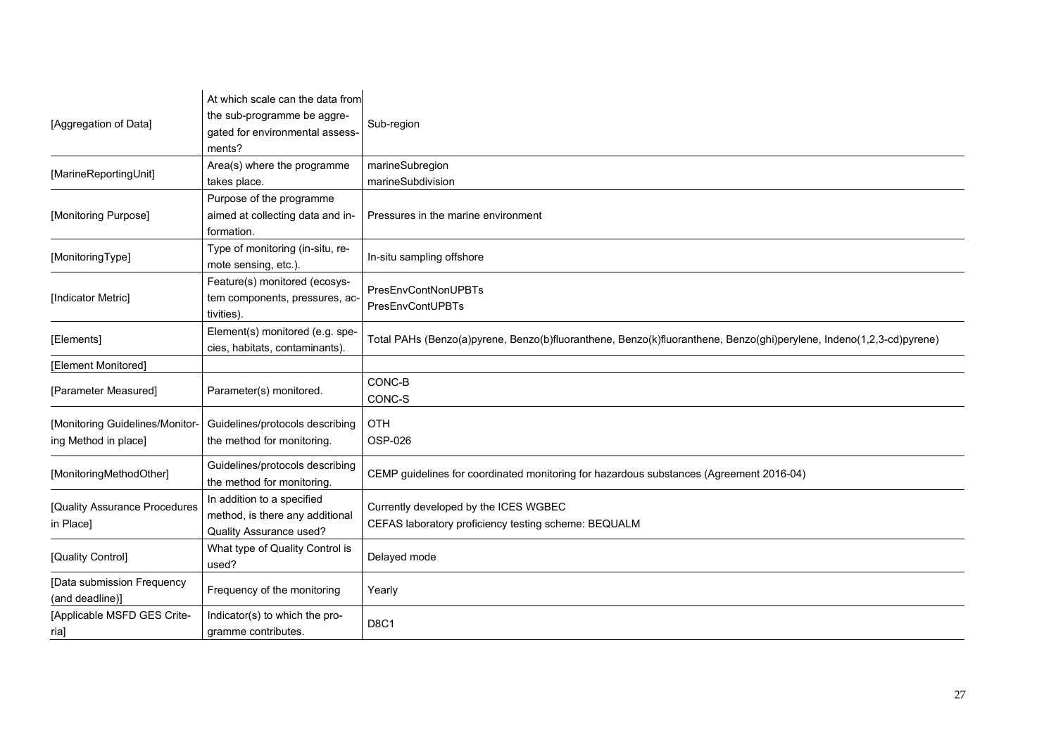| [Aggregation of Data]           | At which scale can the data from<br>the sub-programme be aggre-<br>gated for environmental assess- | Sub-region                                                                                                          |
|---------------------------------|----------------------------------------------------------------------------------------------------|---------------------------------------------------------------------------------------------------------------------|
|                                 | ments?                                                                                             |                                                                                                                     |
| [MarineReportingUnit]           | Area(s) where the programme                                                                        | marineSubregion                                                                                                     |
|                                 | takes place.                                                                                       | marineSubdivision                                                                                                   |
|                                 | Purpose of the programme                                                                           |                                                                                                                     |
| [Monitoring Purpose]            | aimed at collecting data and in-                                                                   | Pressures in the marine environment                                                                                 |
|                                 | formation.                                                                                         |                                                                                                                     |
|                                 | Type of monitoring (in-situ, re-                                                                   |                                                                                                                     |
| [MonitoringType]                | mote sensing, etc.).                                                                               | In-situ sampling offshore                                                                                           |
|                                 | Feature(s) monitored (ecosys-                                                                      |                                                                                                                     |
| [Indicator Metric]              | tem components, pressures, ac-                                                                     | <b>PresEnvContNonUPBTs</b>                                                                                          |
|                                 | tivities).                                                                                         | PresEnvContUPBTs                                                                                                    |
|                                 | Element(s) monitored (e.g. spe-                                                                    |                                                                                                                     |
| [Elements]                      |                                                                                                    | Total PAHs (Benzo(a)pyrene, Benzo(b)fluoranthene, Benzo(k)fluoranthene, Benzo(ghi)perylene, Indeno(1,2,3-cd)pyrene) |
|                                 | cies, habitats, contaminants).                                                                     |                                                                                                                     |
| [Element Monitored]             |                                                                                                    |                                                                                                                     |
| [Parameter Measured]            | Parameter(s) monitored.                                                                            | CONC-B                                                                                                              |
|                                 |                                                                                                    | CONC-S                                                                                                              |
| [Monitoring Guidelines/Monitor- | Guidelines/protocols describing                                                                    | OTH                                                                                                                 |
| ing Method in place]            | the method for monitoring.                                                                         | OSP-026                                                                                                             |
|                                 |                                                                                                    |                                                                                                                     |
| [MonitoringMethodOther]         | Guidelines/protocols describing<br>the method for monitoring.                                      | CEMP guidelines for coordinated monitoring for hazardous substances (Agreement 2016-04)                             |
|                                 | In addition to a specified                                                                         |                                                                                                                     |
| [Quality Assurance Procedures   | method, is there any additional                                                                    | Currently developed by the ICES WGBEC                                                                               |
| in Place]                       | <b>Quality Assurance used?</b>                                                                     | CEFAS laboratory proficiency testing scheme: BEQUALM                                                                |
|                                 | What type of Quality Control is                                                                    |                                                                                                                     |
| [Quality Control]               | used?                                                                                              | Delayed mode                                                                                                        |
|                                 |                                                                                                    |                                                                                                                     |
| [Data submission Frequency      | Frequency of the monitoring                                                                        | Yearly                                                                                                              |
| (and deadline)]                 |                                                                                                    |                                                                                                                     |
| [Applicable MSFD GES Crite-     | Indicator(s) to which the pro-                                                                     | <b>D8C1</b>                                                                                                         |
| ria]                            | gramme contributes.                                                                                |                                                                                                                     |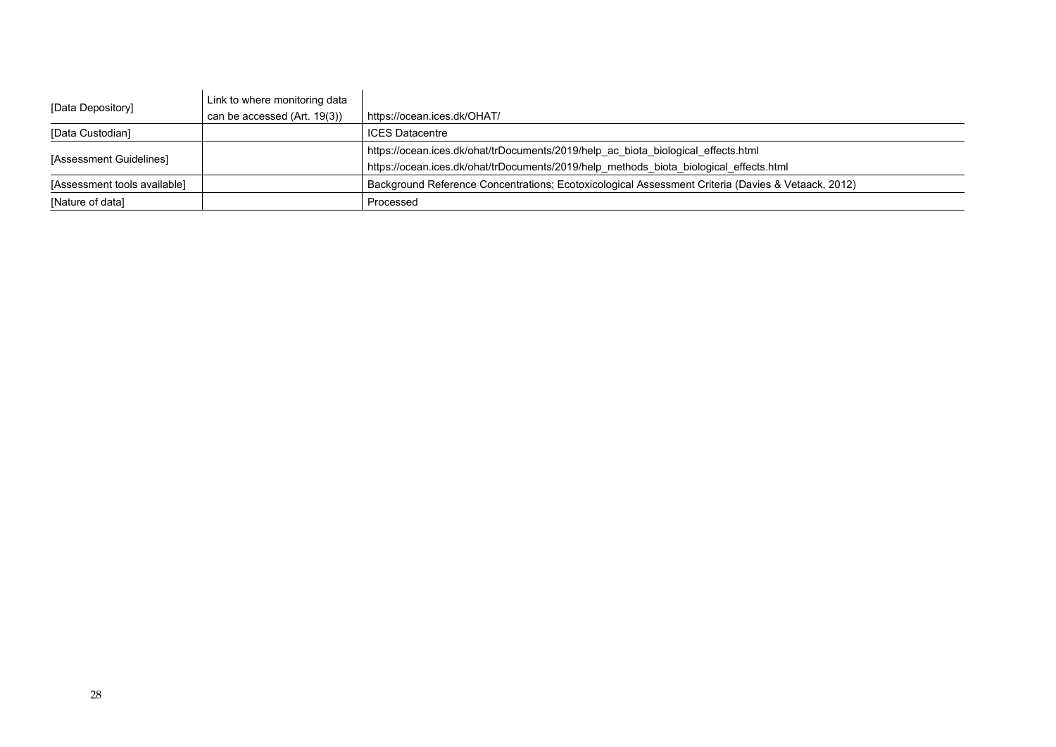| [Data Depository]            | Link to where monitoring data |                                                                                                    |
|------------------------------|-------------------------------|----------------------------------------------------------------------------------------------------|
|                              | can be accessed (Art. 19(3))  | https://ocean.ices.dk/OHAT/                                                                        |
| [Data Custodian]             |                               | <b>ICES</b> Datacentre                                                                             |
| [Assessment Guidelines]      |                               | https://ocean.ices.dk/ohat/trDocuments/2019/help ac biota biological effects.html                  |
|                              |                               | https://ocean.ices.dk/ohat/trDocuments/2019/help methods biota biological effects.html             |
| [Assessment tools available] |                               | Background Reference Concentrations: Ecotoxicological Assessment Criteria (Davies & Vetaack, 2012) |
| [Nature of data]             |                               | Processed                                                                                          |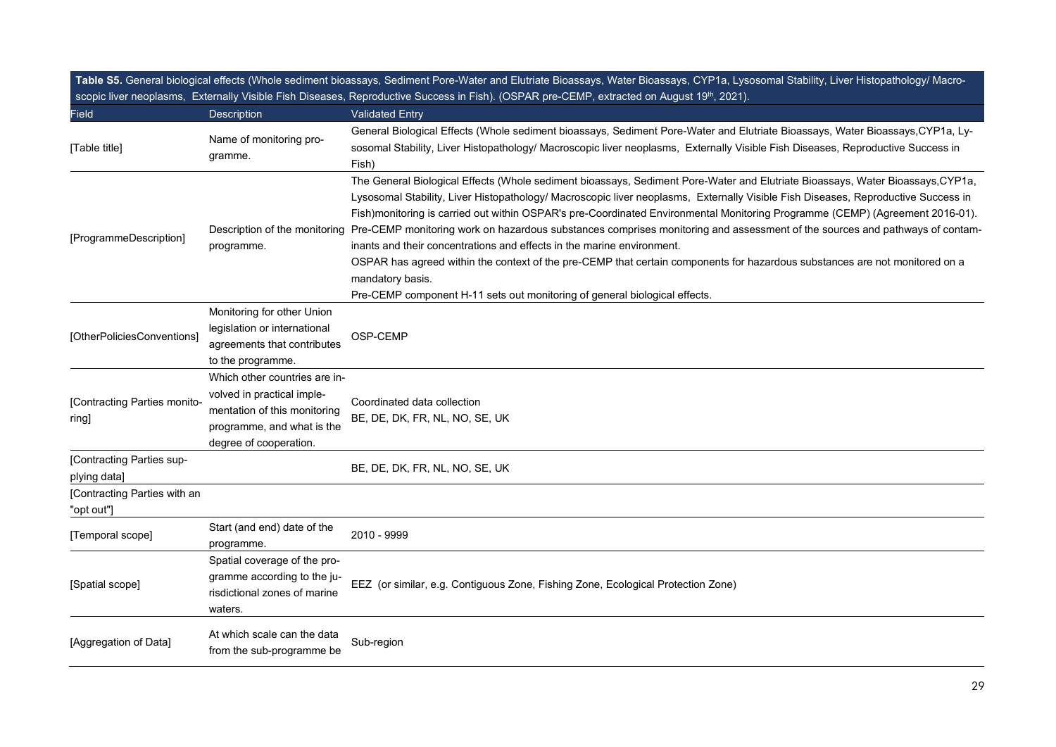|                                            |                                                                                                                                                     | Table S5. General biological effects (Whole sediment bioassays, Sediment Pore-Water and Elutriate Bioassays, Water Bioassays, CYP1a, Lysosomal Stability, Liver Histopathology/ Macro-<br>scopic liver neoplasms, Externally Visible Fish Diseases, Reproductive Success in Fish). (OSPAR pre-CEMP, extracted on August 19 <sup>th</sup> , 2021).                                                                                                                                                                                                                                                                                                                                                                                                                                                                                                                           |
|--------------------------------------------|-----------------------------------------------------------------------------------------------------------------------------------------------------|-----------------------------------------------------------------------------------------------------------------------------------------------------------------------------------------------------------------------------------------------------------------------------------------------------------------------------------------------------------------------------------------------------------------------------------------------------------------------------------------------------------------------------------------------------------------------------------------------------------------------------------------------------------------------------------------------------------------------------------------------------------------------------------------------------------------------------------------------------------------------------|
| <b>Field</b>                               | Description                                                                                                                                         | <b>Validated Entry</b>                                                                                                                                                                                                                                                                                                                                                                                                                                                                                                                                                                                                                                                                                                                                                                                                                                                      |
| [Table title]                              | Name of monitoring pro-<br>gramme.                                                                                                                  | General Biological Effects (Whole sediment bioassays, Sediment Pore-Water and Elutriate Bioassays, Water Bioassays, CYP1a, Ly-<br>sosomal Stability, Liver Histopathology/ Macroscopic liver neoplasms, Externally Visible Fish Diseases, Reproductive Success in<br>Fish)                                                                                                                                                                                                                                                                                                                                                                                                                                                                                                                                                                                                  |
| [ProgrammeDescription]                     | programme.                                                                                                                                          | The General Biological Effects (Whole sediment bioassays, Sediment Pore-Water and Elutriate Bioassays, Water Bioassays, CYP1a,<br>Lysosomal Stability, Liver Histopathology/ Macroscopic liver neoplasms, Externally Visible Fish Diseases, Reproductive Success in<br>Fish)monitoring is carried out within OSPAR's pre-Coordinated Environmental Monitoring Programme (CEMP) (Agreement 2016-01).<br>Description of the monitoring Pre-CEMP monitoring work on hazardous substances comprises monitoring and assessment of the sources and pathways of contam-<br>inants and their concentrations and effects in the marine environment.<br>OSPAR has agreed within the context of the pre-CEMP that certain components for hazardous substances are not monitored on a<br>mandatory basis.<br>Pre-CEMP component H-11 sets out monitoring of general biological effects. |
| [OtherPoliciesConventions]                 | Monitoring for other Union<br>legislation or international<br>agreements that contributes<br>to the programme.                                      | OSP-CEMP                                                                                                                                                                                                                                                                                                                                                                                                                                                                                                                                                                                                                                                                                                                                                                                                                                                                    |
| [Contracting Parties monito-<br>ring]      | Which other countries are in-<br>volved in practical imple-<br>mentation of this monitoring<br>programme, and what is the<br>degree of cooperation. | Coordinated data collection<br>BE, DE, DK, FR, NL, NO, SE, UK                                                                                                                                                                                                                                                                                                                                                                                                                                                                                                                                                                                                                                                                                                                                                                                                               |
| [Contracting Parties sup-<br>plying data]  |                                                                                                                                                     | BE, DE, DK, FR, NL, NO, SE, UK                                                                                                                                                                                                                                                                                                                                                                                                                                                                                                                                                                                                                                                                                                                                                                                                                                              |
| [Contracting Parties with an<br>"opt out"] |                                                                                                                                                     |                                                                                                                                                                                                                                                                                                                                                                                                                                                                                                                                                                                                                                                                                                                                                                                                                                                                             |
| [Temporal scope]                           | Start (and end) date of the<br>programme.                                                                                                           | 2010 - 9999                                                                                                                                                                                                                                                                                                                                                                                                                                                                                                                                                                                                                                                                                                                                                                                                                                                                 |
| [Spatial scope]                            | Spatial coverage of the pro-<br>gramme according to the ju-<br>risdictional zones of marine<br>waters.                                              | EEZ (or similar, e.g. Contiguous Zone, Fishing Zone, Ecological Protection Zone)                                                                                                                                                                                                                                                                                                                                                                                                                                                                                                                                                                                                                                                                                                                                                                                            |
| [Aggregation of Data]                      | At which scale can the data<br>from the sub-programme be                                                                                            | Sub-region                                                                                                                                                                                                                                                                                                                                                                                                                                                                                                                                                                                                                                                                                                                                                                                                                                                                  |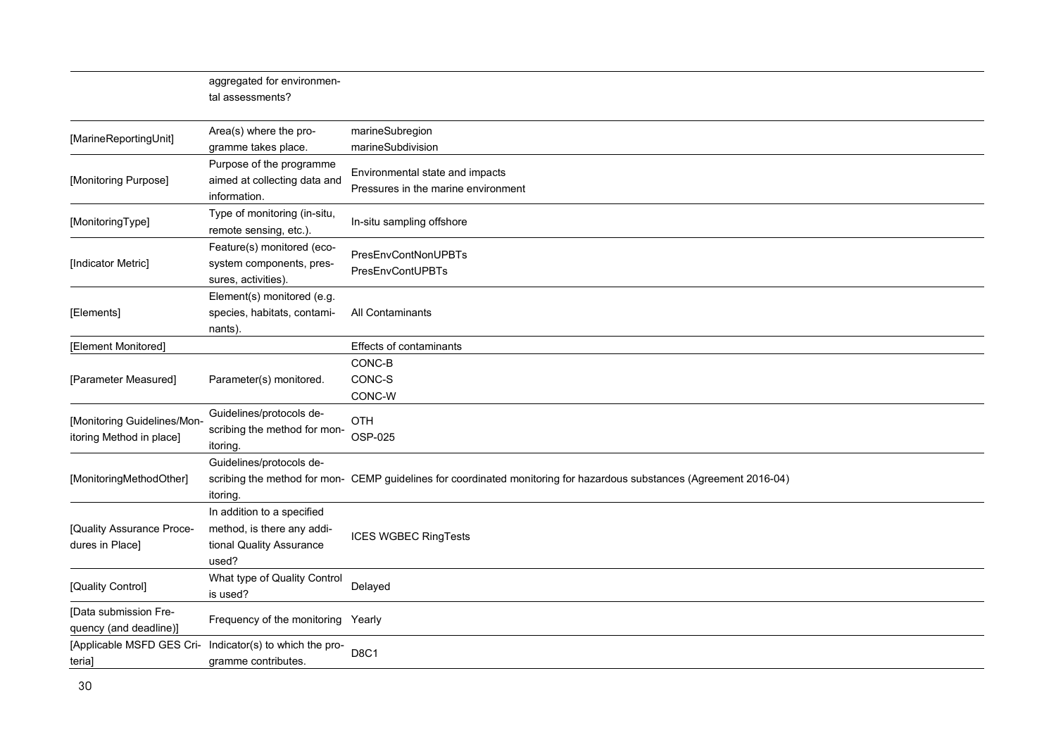|                                                         | aggregated for environmen-<br>tal assessments?                                                |                                                                                                                      |
|---------------------------------------------------------|-----------------------------------------------------------------------------------------------|----------------------------------------------------------------------------------------------------------------------|
| [MarineReportingUnit]                                   | Area(s) where the pro-<br>gramme takes place.                                                 | marineSubregion<br>marineSubdivision                                                                                 |
| [Monitoring Purpose]                                    | Purpose of the programme<br>aimed at collecting data and<br>information.                      | Environmental state and impacts<br>Pressures in the marine environment                                               |
| [MonitoringType]                                        | Type of monitoring (in-situ,<br>remote sensing, etc.).                                        | In-situ sampling offshore                                                                                            |
| [Indicator Metric]                                      | Feature(s) monitored (eco-<br>system components, pres-<br>sures, activities).                 | PresEnvContNonUPBTs<br><b>PresEnvContUPBTs</b>                                                                       |
| [Elements]                                              | Element(s) monitored (e.g.<br>species, habitats, contami-<br>nants).                          | All Contaminants                                                                                                     |
| [Element Monitored]                                     |                                                                                               | Effects of contaminants                                                                                              |
| [Parameter Measured]                                    | Parameter(s) monitored.                                                                       | CONC-B<br>CONC-S<br>CONC-W                                                                                           |
| [Monitoring Guidelines/Mon-<br>itoring Method in place] | Guidelines/protocols de-<br>scribing the method for mon-<br>itoring.                          | OTH<br>OSP-025                                                                                                       |
| [MonitoringMethodOther]                                 | Guidelines/protocols de-<br>itoring.                                                          | scribing the method for mon- CEMP guidelines for coordinated monitoring for hazardous substances (Agreement 2016-04) |
| [Quality Assurance Proce-<br>dures in Place]            | In addition to a specified<br>method, is there any addi-<br>tional Quality Assurance<br>used? | <b>ICES WGBEC RingTests</b>                                                                                          |
| [Quality Control]                                       | What type of Quality Control<br>is used?                                                      | Delayed                                                                                                              |
| [Data submission Fre-<br>quency (and deadline)]         | Frequency of the monitoring Yearly                                                            |                                                                                                                      |
| [Applicable MSFD GES Cri-<br>teria]                     | Indicator(s) to which the pro-<br>gramme contributes.                                         | D8C1                                                                                                                 |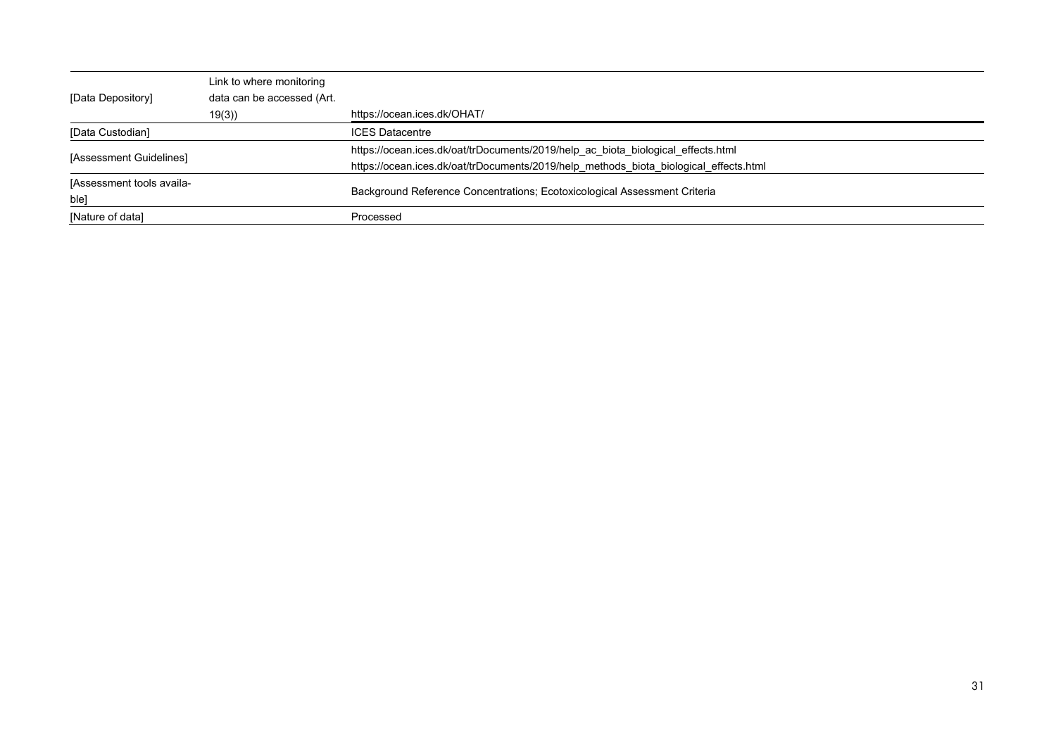| [Data Depository]                 | Link to where monitoring<br>data can be accessed (Art. |                                                                                                                                                                           |
|-----------------------------------|--------------------------------------------------------|---------------------------------------------------------------------------------------------------------------------------------------------------------------------------|
|                                   | 19(3)                                                  | https://ocean.ices.dk/OHAT/                                                                                                                                               |
| [Data Custodian]                  |                                                        | <b>ICES Datacentre</b>                                                                                                                                                    |
| [Assessment Guidelines]           |                                                        | https://ocean.ices.dk/oat/trDocuments/2019/help_ac_biota_biological_effects.html<br>https://ocean.ices.dk/oat/trDocuments/2019/help methods biota biological effects.html |
| [Assessment tools availa-<br>ble] |                                                        | Background Reference Concentrations; Ecotoxicological Assessment Criteria                                                                                                 |
| [Nature of data]                  |                                                        | Processed                                                                                                                                                                 |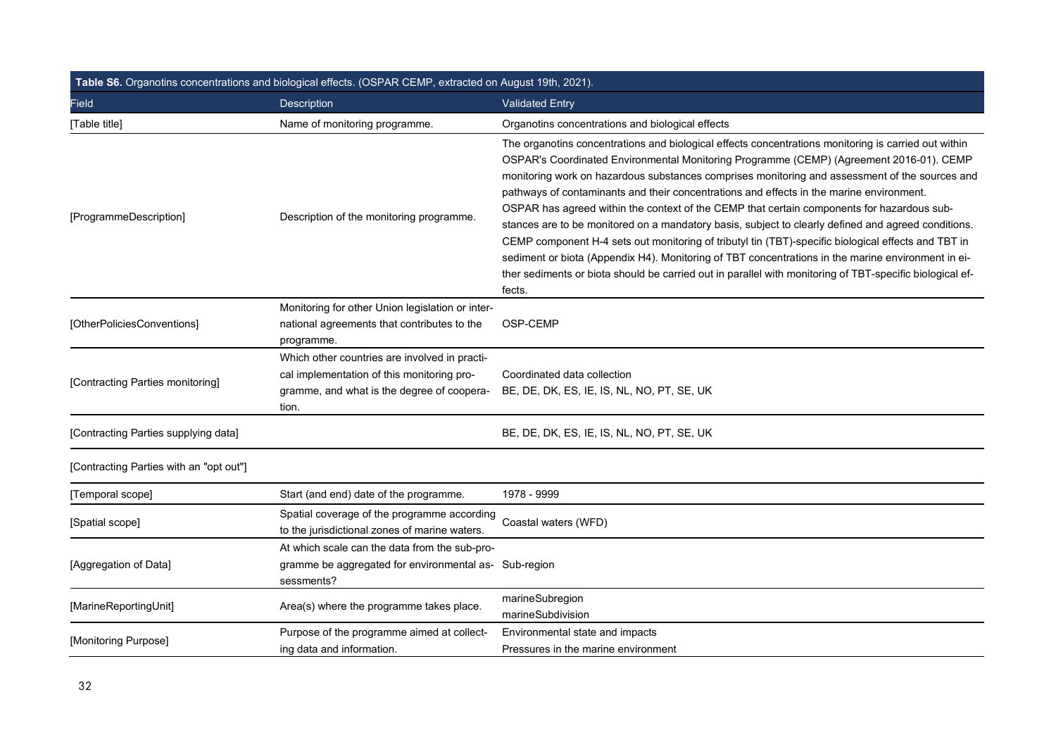| Table S6. Organotins concentrations and biological effects. (OSPAR CEMP, extracted on August 19th, 2021). |                                                                                                                                                    |                                                                                                                                                                                                                                                                                                                                                                                                                                                                                                                                                                                                                                                                                                                                                                                                                                                                                                                                       |  |  |
|-----------------------------------------------------------------------------------------------------------|----------------------------------------------------------------------------------------------------------------------------------------------------|---------------------------------------------------------------------------------------------------------------------------------------------------------------------------------------------------------------------------------------------------------------------------------------------------------------------------------------------------------------------------------------------------------------------------------------------------------------------------------------------------------------------------------------------------------------------------------------------------------------------------------------------------------------------------------------------------------------------------------------------------------------------------------------------------------------------------------------------------------------------------------------------------------------------------------------|--|--|
| <b>Field</b>                                                                                              | <b>Description</b>                                                                                                                                 | <b>Validated Entry</b>                                                                                                                                                                                                                                                                                                                                                                                                                                                                                                                                                                                                                                                                                                                                                                                                                                                                                                                |  |  |
| [Table title]                                                                                             | Name of monitoring programme.                                                                                                                      | Organotins concentrations and biological effects                                                                                                                                                                                                                                                                                                                                                                                                                                                                                                                                                                                                                                                                                                                                                                                                                                                                                      |  |  |
| [ProgrammeDescription]                                                                                    | Description of the monitoring programme.                                                                                                           | The organotins concentrations and biological effects concentrations monitoring is carried out within<br>OSPAR's Coordinated Environmental Monitoring Programme (CEMP) (Agreement 2016-01). CEMP<br>monitoring work on hazardous substances comprises monitoring and assessment of the sources and<br>pathways of contaminants and their concentrations and effects in the marine environment.<br>OSPAR has agreed within the context of the CEMP that certain components for hazardous sub-<br>stances are to be monitored on a mandatory basis, subject to clearly defined and agreed conditions.<br>CEMP component H-4 sets out monitoring of tributyl tin (TBT)-specific biological effects and TBT in<br>sediment or biota (Appendix H4). Monitoring of TBT concentrations in the marine environment in ei-<br>ther sediments or biota should be carried out in parallel with monitoring of TBT-specific biological ef-<br>fects. |  |  |
| [OtherPoliciesConventions]                                                                                | Monitoring for other Union legislation or inter-<br>national agreements that contributes to the<br>programme.                                      | OSP-CEMP                                                                                                                                                                                                                                                                                                                                                                                                                                                                                                                                                                                                                                                                                                                                                                                                                                                                                                                              |  |  |
| [Contracting Parties monitoring]                                                                          | Which other countries are involved in practi-<br>cal implementation of this monitoring pro-<br>gramme, and what is the degree of coopera-<br>tion. | Coordinated data collection<br>BE, DE, DK, ES, IE, IS, NL, NO, PT, SE, UK                                                                                                                                                                                                                                                                                                                                                                                                                                                                                                                                                                                                                                                                                                                                                                                                                                                             |  |  |
| [Contracting Parties supplying data]                                                                      |                                                                                                                                                    | BE, DE, DK, ES, IE, IS, NL, NO, PT, SE, UK                                                                                                                                                                                                                                                                                                                                                                                                                                                                                                                                                                                                                                                                                                                                                                                                                                                                                            |  |  |
| [Contracting Parties with an "opt out"]                                                                   |                                                                                                                                                    |                                                                                                                                                                                                                                                                                                                                                                                                                                                                                                                                                                                                                                                                                                                                                                                                                                                                                                                                       |  |  |
| [Temporal scope]                                                                                          | Start (and end) date of the programme.                                                                                                             | 1978 - 9999                                                                                                                                                                                                                                                                                                                                                                                                                                                                                                                                                                                                                                                                                                                                                                                                                                                                                                                           |  |  |
| [Spatial scope]                                                                                           | Spatial coverage of the programme according<br>to the jurisdictional zones of marine waters.                                                       | Coastal waters (WFD)                                                                                                                                                                                                                                                                                                                                                                                                                                                                                                                                                                                                                                                                                                                                                                                                                                                                                                                  |  |  |
| [Aggregation of Data]                                                                                     | At which scale can the data from the sub-pro-<br>gramme be aggregated for environmental as- Sub-region<br>sessments?                               |                                                                                                                                                                                                                                                                                                                                                                                                                                                                                                                                                                                                                                                                                                                                                                                                                                                                                                                                       |  |  |
| [MarineReportingUnit]                                                                                     | Area(s) where the programme takes place.                                                                                                           | marineSubregion<br>marineSubdivision                                                                                                                                                                                                                                                                                                                                                                                                                                                                                                                                                                                                                                                                                                                                                                                                                                                                                                  |  |  |
| [Monitoring Purpose]                                                                                      | Purpose of the programme aimed at collect-<br>ing data and information.                                                                            | Environmental state and impacts<br>Pressures in the marine environment                                                                                                                                                                                                                                                                                                                                                                                                                                                                                                                                                                                                                                                                                                                                                                                                                                                                |  |  |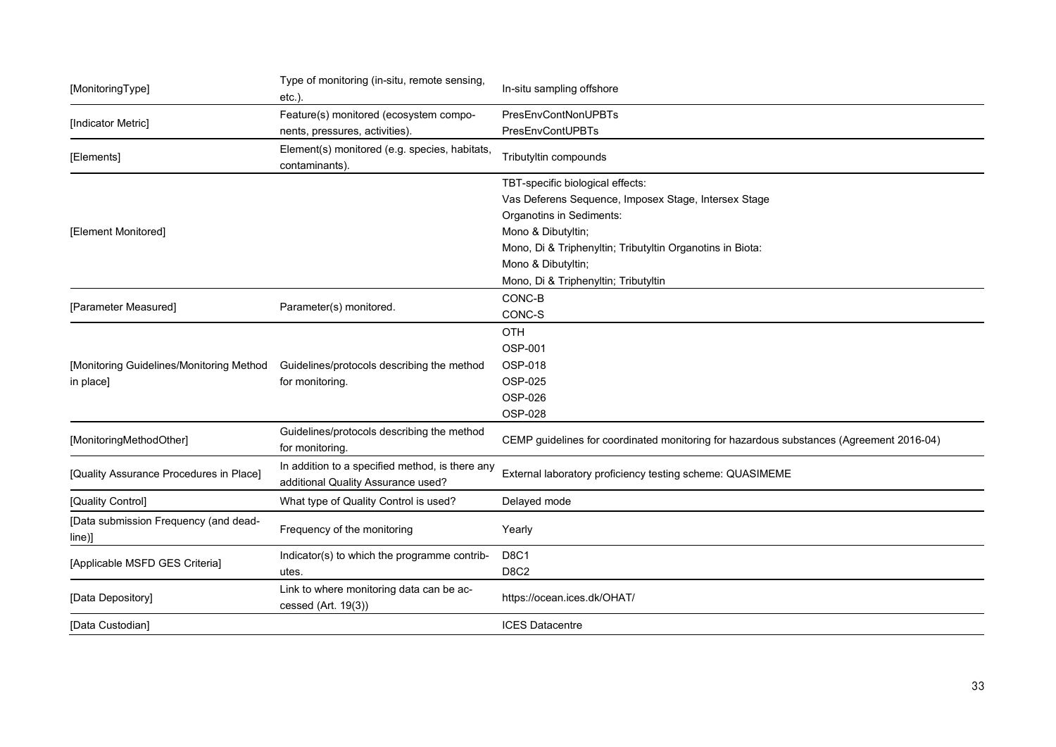| [MonitoringType]                                   | Type of monitoring (in-situ, remote sensing,<br>$etc.$ ).                             | In-situ sampling offshore                                                               |
|----------------------------------------------------|---------------------------------------------------------------------------------------|-----------------------------------------------------------------------------------------|
|                                                    | Feature(s) monitored (ecosystem compo-                                                | <b>PresEnvContNonUPBTs</b>                                                              |
| [Indicator Metric]                                 | nents, pressures, activities).                                                        | PresEnvContUPBTs                                                                        |
| [Elements]                                         | Element(s) monitored (e.g. species, habitats,<br>contaminants).                       | Tributyltin compounds                                                                   |
|                                                    |                                                                                       | TBT-specific biological effects:                                                        |
|                                                    |                                                                                       | Vas Deferens Sequence, Imposex Stage, Intersex Stage                                    |
|                                                    |                                                                                       | Organotins in Sediments:                                                                |
| [Element Monitored]                                |                                                                                       | Mono & Dibutyltin;                                                                      |
|                                                    |                                                                                       | Mono, Di & Triphenyltin; Tributyltin Organotins in Biota:                               |
|                                                    |                                                                                       | Mono & Dibutyltin;                                                                      |
|                                                    |                                                                                       | Mono, Di & Triphenyltin; Tributyltin                                                    |
|                                                    |                                                                                       | CONC-B                                                                                  |
| [Parameter Measured]                               | Parameter(s) monitored.                                                               | CONC-S                                                                                  |
|                                                    |                                                                                       | OTH                                                                                     |
|                                                    |                                                                                       | OSP-001                                                                                 |
| [Monitoring Guidelines/Monitoring Method           | Guidelines/protocols describing the method<br>for monitoring.                         | OSP-018                                                                                 |
| in place]                                          |                                                                                       | OSP-025                                                                                 |
|                                                    |                                                                                       | OSP-026                                                                                 |
|                                                    |                                                                                       | OSP-028                                                                                 |
| [MonitoringMethodOther]                            | Guidelines/protocols describing the method<br>for monitoring.                         | CEMP guidelines for coordinated monitoring for hazardous substances (Agreement 2016-04) |
| [Quality Assurance Procedures in Place]            | In addition to a specified method, is there any<br>additional Quality Assurance used? | External laboratory proficiency testing scheme: QUASIMEME                               |
| [Quality Control]                                  | What type of Quality Control is used?                                                 | Delayed mode                                                                            |
| [Data submission Frequency (and dead-<br>$line)$ ] | Frequency of the monitoring                                                           | Yearly                                                                                  |
|                                                    | Indicator(s) to which the programme contrib-                                          | D8C1                                                                                    |
| [Applicable MSFD GES Criteria]                     | utes.                                                                                 | D8C2                                                                                    |
| [Data Depository]                                  | Link to where monitoring data can be ac-<br>cessed (Art. 19(3))                       | https://ocean.ices.dk/OHAT/                                                             |
| [Data Custodian]                                   |                                                                                       | <b>ICES Datacentre</b>                                                                  |
|                                                    |                                                                                       |                                                                                         |